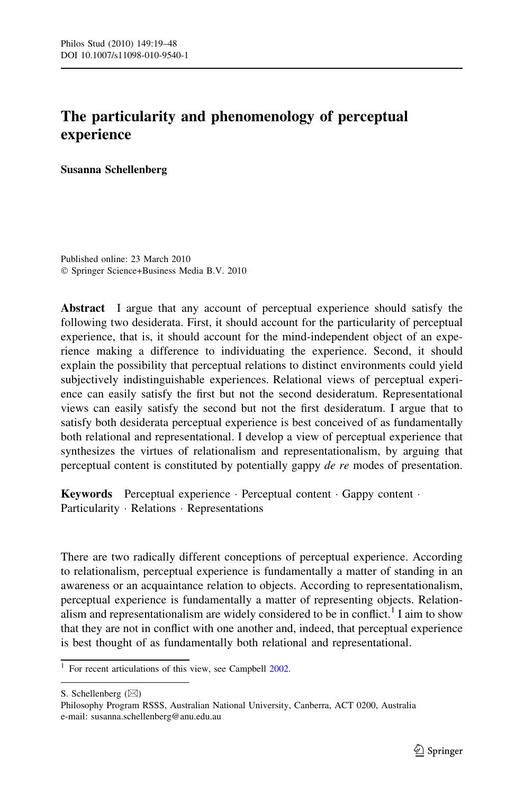# The particularity and phenomenology of perceptual experience

Susanna Schellenberg

Published online: 23 March 2010 © Springer Science+Business Media B.V. 2010

Abstract I argue that any account of perceptual experience should satisfy the following two desiderata. First, it should account for the particularity of perceptual experience, that is, it should account for the mind-independent object of an experience making a difference to individuating the experience. Second, it should explain the possibility that perceptual relations to distinct environments could yield subjectively indistinguishable experiences. Relational views of perceptual experience can easily satisfy the first but not the second desideratum. Representational views can easily satisfy the second but not the first desideratum. I argue that to satisfy both desiderata perceptual experience is best conceived of as fundamentally both relational and representational. I develop a view of perceptual experience that synthesizes the virtues of relationalism and representationalism, by arguing that perceptual content is constituted by potentially gappy *de re* modes of presentation.

**Keywords** Perceptual experience  $\cdot$  Perceptual content  $\cdot$  Gappy content  $\cdot$ Particularity · Relations · Representations

There are two radically different conceptions of perceptual experience. According to relationalism, perceptual experience is fundamentally a matter of standing in an awareness or an acquaintance relation to objects. According to representationalism, perceptual experience is fundamentally a matter of representing objects. Relationalism and representationalism are widely considered to be in conflict.<sup>1</sup> I aim to show that they are not in conflict with one another and, indeed, that perceptual experience is best thought of as fundamentally both relational and representational.

 $1$  For recent articulations of this view, see Campbell [2002.](#page-27-0)

S. Schellenberg  $(\boxtimes)$ 

Philosophy Program RSSS, Australian National University, Canberra, ACT 0200, Australia e-mail: susanna.schellenberg@anu.edu.au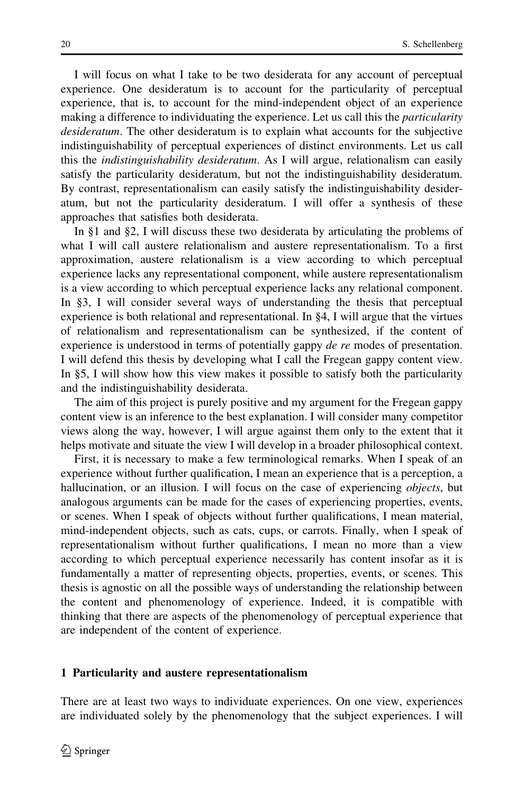I will focus on what I take to be two desiderata for any account of perceptual experience. One desideratum is to account for the particularity of perceptual experience, that is, to account for the mind-independent object of an experience making a difference to individuating the experience. Let us call this the *particularity* desideratum. The other desideratum is to explain what accounts for the subjective indistinguishability of perceptual experiences of distinct environments. Let us call this the *indistinguishability desideratum*. As I will argue, relationalism can easily satisfy the particularity desideratum, but not the indistinguishability desideratum. By contrast, representationalism can easily satisfy the indistinguishability desideratum, but not the particularity desideratum. I will offer a synthesis of these approaches that satisfies both desiderata.

In §1 and §2, I will discuss these two desiderata by articulating the problems of what I will call austere relationalism and austere representationalism. To a first approximation, austere relationalism is a view according to which perceptual experience lacks any representational component, while austere representationalism is a view according to which perceptual experience lacks any relational component. In §3, I will consider several ways of understanding the thesis that perceptual experience is both relational and representational. In §4, I will argue that the virtues of relationalism and representationalism can be synthesized, if the content of experience is understood in terms of potentially gappy *de re* modes of presentation. I will defend this thesis by developing what I call the Fregean gappy content view. In §5, I will show how this view makes it possible to satisfy both the particularity and the indistinguishability desiderata.

The aim of this project is purely positive and my argument for the Fregean gappy content view is an inference to the best explanation. I will consider many competitor views along the way, however, I will argue against them only to the extent that it helps motivate and situate the view I will develop in a broader philosophical context.

First, it is necessary to make a few terminological remarks. When I speak of an experience without further qualification, I mean an experience that is a perception, a hallucination, or an illusion. I will focus on the case of experiencing *objects*, but analogous arguments can be made for the cases of experiencing properties, events, or scenes. When I speak of objects without further qualifications, I mean material, mind-independent objects, such as cats, cups, or carrots. Finally, when I speak of representationalism without further qualifications, I mean no more than a view according to which perceptual experience necessarily has content insofar as it is fundamentally a matter of representing objects, properties, events, or scenes. This thesis is agnostic on all the possible ways of understanding the relationship between the content and phenomenology of experience. Indeed, it is compatible with thinking that there are aspects of the phenomenology of perceptual experience that are independent of the content of experience.

#### 1 Particularity and austere representationalism

There are at least two ways to individuate experiences. On one view, experiences are individuated solely by the phenomenology that the subject experiences. I will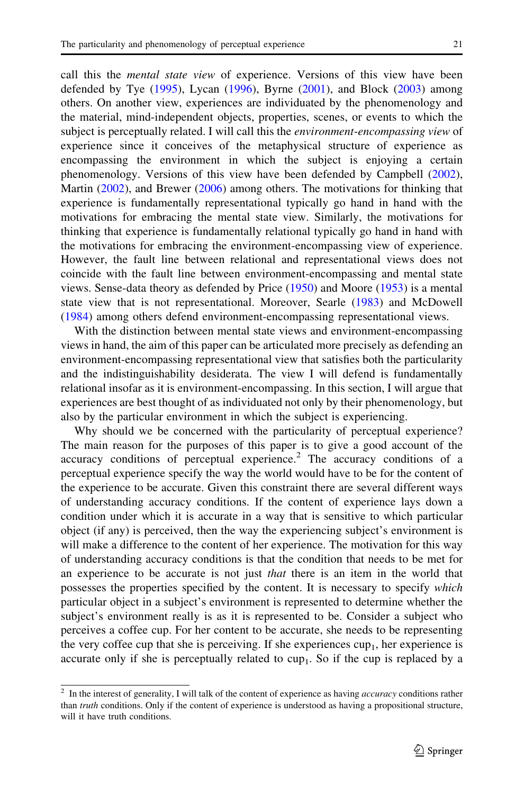call this the *mental state view* of experience. Versions of this view have been defended by Tye  $(1995)$  $(1995)$ , Lycan  $(1996)$  $(1996)$ , Byrne  $(2001)$  $(2001)$ , and Block  $(2003)$  $(2003)$  among others. On another view, experiences are individuated by the phenomenology and the material, mind-independent objects, properties, scenes, or events to which the subject is perceptually related. I will call this the environment-encompassing view of experience since it conceives of the metaphysical structure of experience as encompassing the environment in which the subject is enjoying a certain phenomenology. Versions of this view have been defended by Campbell ([2002\)](#page-27-0), Martin ([2002\)](#page-28-0), and Brewer ([2006\)](#page-27-0) among others. The motivations for thinking that experience is fundamentally representational typically go hand in hand with the motivations for embracing the mental state view. Similarly, the motivations for thinking that experience is fundamentally relational typically go hand in hand with the motivations for embracing the environment-encompassing view of experience. However, the fault line between relational and representational views does not coincide with the fault line between environment-encompassing and mental state views. Sense-data theory as defended by Price [\(1950](#page-28-0)) and Moore ([1953\)](#page-28-0) is a mental state view that is not representational. Moreover, Searle [\(1983](#page-29-0)) and McDowell [\(1984](#page-28-0)) among others defend environment-encompassing representational views.

With the distinction between mental state views and environment-encompassing views in hand, the aim of this paper can be articulated more precisely as defending an environment-encompassing representational view that satisfies both the particularity and the indistinguishability desiderata. The view I will defend is fundamentally relational insofar as it is environment-encompassing. In this section, I will argue that experiences are best thought of as individuated not only by their phenomenology, but also by the particular environment in which the subject is experiencing.

Why should we be concerned with the particularity of perceptual experience? The main reason for the purposes of this paper is to give a good account of the accuracy conditions of perceptual experience.<sup>2</sup> The accuracy conditions of a perceptual experience specify the way the world would have to be for the content of the experience to be accurate. Given this constraint there are several different ways of understanding accuracy conditions. If the content of experience lays down a condition under which it is accurate in a way that is sensitive to which particular object (if any) is perceived, then the way the experiencing subject's environment is will make a difference to the content of her experience. The motivation for this way of understanding accuracy conditions is that the condition that needs to be met for an experience to be accurate is not just *that* there is an item in the world that possesses the properties specified by the content. It is necessary to specify which particular object in a subject's environment is represented to determine whether the subject's environment really is as it is represented to be. Consider a subject who perceives a coffee cup. For her content to be accurate, she needs to be representing the very coffee cup that she is perceiving. If she experiences  $cup_1$ , her experience is accurate only if she is perceptually related to  $cup_1$ . So if the cup is replaced by a

 $\frac{2}{2}$  In the interest of generality, I will talk of the content of experience as having *accuracy* conditions rather than truth conditions. Only if the content of experience is understood as having a propositional structure, will it have truth conditions.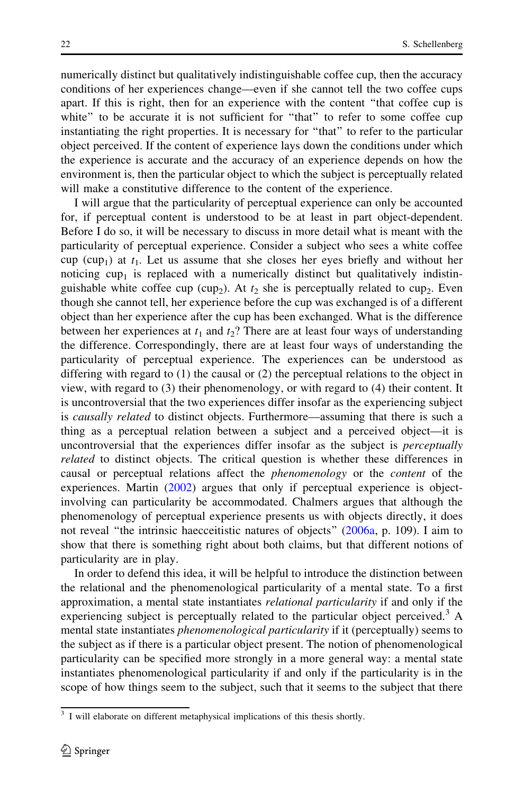numerically distinct but qualitatively indistinguishable coffee cup, then the accuracy conditions of her experiences change—even if she cannot tell the two coffee cups apart. If this is right, then for an experience with the content ''that coffee cup is white" to be accurate it is not sufficient for "that" to refer to some coffee cup instantiating the right properties. It is necessary for ''that'' to refer to the particular object perceived. If the content of experience lays down the conditions under which the experience is accurate and the accuracy of an experience depends on how the environment is, then the particular object to which the subject is perceptually related will make a constitutive difference to the content of the experience.

I will argue that the particularity of perceptual experience can only be accounted for, if perceptual content is understood to be at least in part object-dependent. Before I do so, it will be necessary to discuss in more detail what is meant with the particularity of perceptual experience. Consider a subject who sees a white coffee cup (cup<sub>1</sub>) at  $t_1$ . Let us assume that she closes her eyes briefly and without her noticing  $cup_1$  is replaced with a numerically distinct but qualitatively indistinguishable white coffee cup (cup<sub>2</sub>). At  $t_2$  she is perceptually related to cup<sub>2</sub>. Even though she cannot tell, her experience before the cup was exchanged is of a different object than her experience after the cup has been exchanged. What is the difference between her experiences at  $t_1$  and  $t_2$ ? There are at least four ways of understanding the difference. Correspondingly, there are at least four ways of understanding the particularity of perceptual experience. The experiences can be understood as differing with regard to (1) the causal or (2) the perceptual relations to the object in view, with regard to (3) their phenomenology, or with regard to (4) their content. It is uncontroversial that the two experiences differ insofar as the experiencing subject is *causally related* to distinct objects. Furthermore—assuming that there is such a thing as a perceptual relation between a subject and a perceived object—it is uncontroversial that the experiences differ insofar as the subject is perceptually related to distinct objects. The critical question is whether these differences in causal or perceptual relations affect the phenomenology or the content of the experiences. Martin [\(2002](#page-28-0)) argues that only if perceptual experience is objectinvolving can particularity be accommodated. Chalmers argues that although the phenomenology of perceptual experience presents us with objects directly, it does not reveal ''the intrinsic haecceitistic natures of objects'' [\(2006a,](#page-28-0) p. 109). I aim to show that there is something right about both claims, but that different notions of particularity are in play.

In order to defend this idea, it will be helpful to introduce the distinction between the relational and the phenomenological particularity of a mental state. To a first approximation, a mental state instantiates *relational particularity* if and only if the experiencing subject is perceptually related to the particular object perceived.<sup>3</sup> A mental state instantiates *phenomenological particularity* if it (perceptually) seems to the subject as if there is a particular object present. The notion of phenomenological particularity can be specified more strongly in a more general way: a mental state instantiates phenomenological particularity if and only if the particularity is in the scope of how things seem to the subject, such that it seems to the subject that there

<sup>&</sup>lt;sup>3</sup> I will elaborate on different metaphysical implications of this thesis shortly.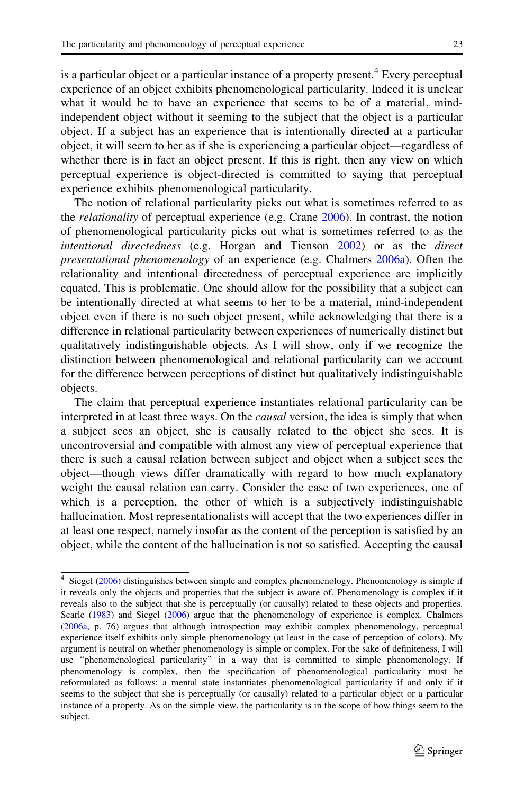is a particular object or a particular instance of a property present.<sup>4</sup> Every perceptual experience of an object exhibits phenomenological particularity. Indeed it is unclear what it would be to have an experience that seems to be of a material, mindindependent object without it seeming to the subject that the object is a particular object. If a subject has an experience that is intentionally directed at a particular object, it will seem to her as if she is experiencing a particular object—regardless of whether there is in fact an object present. If this is right, then any view on which perceptual experience is object-directed is committed to saying that perceptual

experience exhibits phenomenological particularity. The notion of relational particularity picks out what is sometimes referred to as the *relationality* of perceptual experience (e.g. Crane  $2006$ ). In contrast, the notion of phenomenological particularity picks out what is sometimes referred to as the intentional directedness (e.g. Horgan and Tienson [2002](#page-28-0)) or as the direct presentational phenomenology of an experience (e.g. Chalmers [2006a](#page-28-0)). Often the relationality and intentional directedness of perceptual experience are implicitly equated. This is problematic. One should allow for the possibility that a subject can be intentionally directed at what seems to her to be a material, mind-independent object even if there is no such object present, while acknowledging that there is a difference in relational particularity between experiences of numerically distinct but qualitatively indistinguishable objects. As I will show, only if we recognize the distinction between phenomenological and relational particularity can we account for the difference between perceptions of distinct but qualitatively indistinguishable objects.

The claim that perceptual experience instantiates relational particularity can be interpreted in at least three ways. On the *causal* version, the idea is simply that when a subject sees an object, she is causally related to the object she sees. It is uncontroversial and compatible with almost any view of perceptual experience that there is such a causal relation between subject and object when a subject sees the object—though views differ dramatically with regard to how much explanatory weight the causal relation can carry. Consider the case of two experiences, one of which is a perception, the other of which is a subjectively indistinguishable hallucination. Most representationalists will accept that the two experiences differ in at least one respect, namely insofar as the content of the perception is satisfied by an object, while the content of the hallucination is not so satisfied. Accepting the causal

<sup>&</sup>lt;sup>4</sup> Siegel ([2006\)](#page-29-0) distinguishes between simple and complex phenomenology. Phenomenology is simple if it reveals only the objects and properties that the subject is aware of. Phenomenology is complex if it reveals also to the subject that she is perceptually (or causally) related to these objects and properties. Searle [\(1983](#page-29-0)) and Siegel [\(2006](#page-29-0)) argue that the phenomenology of experience is complex. Chalmers ([2006a](#page-28-0), p. 76) argues that although introspection may exhibit complex phenomenology, perceptual experience itself exhibits only simple phenomenology (at least in the case of perception of colors). My argument is neutral on whether phenomenology is simple or complex. For the sake of definiteness, I will use ''phenomenological particularity'' in a way that is committed to simple phenomenology. If phenomenology is complex, then the specification of phenomenological particularity must be reformulated as follows: a mental state instantiates phenomenological particularity if and only if it seems to the subject that she is perceptually (or causally) related to a particular object or a particular instance of a property. As on the simple view, the particularity is in the scope of how things seem to the subject.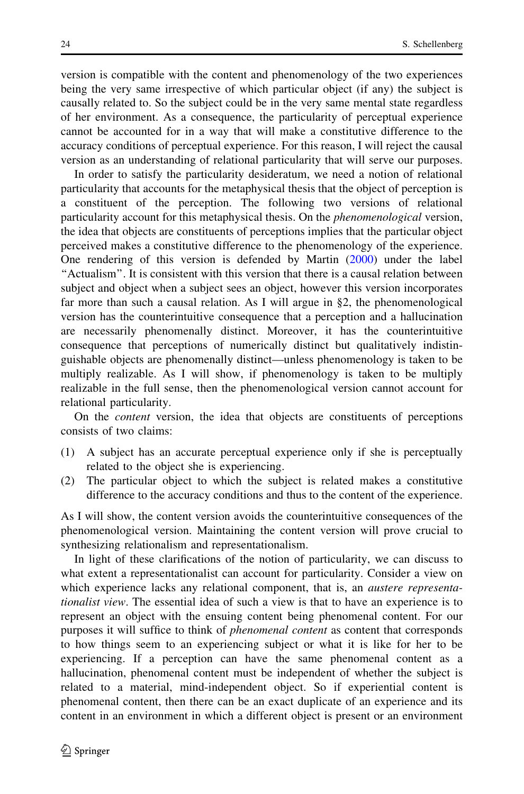version is compatible with the content and phenomenology of the two experiences being the very same irrespective of which particular object (if any) the subject is causally related to. So the subject could be in the very same mental state regardless of her environment. As a consequence, the particularity of perceptual experience cannot be accounted for in a way that will make a constitutive difference to the accuracy conditions of perceptual experience. For this reason, I will reject the causal version as an understanding of relational particularity that will serve our purposes.

In order to satisfy the particularity desideratum, we need a notion of relational particularity that accounts for the metaphysical thesis that the object of perception is a constituent of the perception. The following two versions of relational particularity account for this metaphysical thesis. On the phenomenological version, the idea that objects are constituents of perceptions implies that the particular object perceived makes a constitutive difference to the phenomenology of the experience. One rendering of this version is defended by Martin [\(2000](#page-28-0)) under the label ''Actualism''. It is consistent with this version that there is a causal relation between subject and object when a subject sees an object, however this version incorporates far more than such a causal relation. As I will argue in  $\S$ 2, the phenomenological version has the counterintuitive consequence that a perception and a hallucination are necessarily phenomenally distinct. Moreover, it has the counterintuitive consequence that perceptions of numerically distinct but qualitatively indistinguishable objects are phenomenally distinct—unless phenomenology is taken to be multiply realizable. As I will show, if phenomenology is taken to be multiply realizable in the full sense, then the phenomenological version cannot account for relational particularity.

On the content version, the idea that objects are constituents of perceptions consists of two claims:

- (1) A subject has an accurate perceptual experience only if she is perceptually related to the object she is experiencing.
- (2) The particular object to which the subject is related makes a constitutive difference to the accuracy conditions and thus to the content of the experience.

As I will show, the content version avoids the counterintuitive consequences of the phenomenological version. Maintaining the content version will prove crucial to synthesizing relationalism and representationalism.

In light of these clarifications of the notion of particularity, we can discuss to what extent a representationalist can account for particularity. Consider a view on which experience lacks any relational component, that is, an *austere representa*tionalist view. The essential idea of such a view is that to have an experience is to represent an object with the ensuing content being phenomenal content. For our purposes it will suffice to think of phenomenal content as content that corresponds to how things seem to an experiencing subject or what it is like for her to be experiencing. If a perception can have the same phenomenal content as a hallucination, phenomenal content must be independent of whether the subject is related to a material, mind-independent object. So if experiential content is phenomenal content, then there can be an exact duplicate of an experience and its content in an environment in which a different object is present or an environment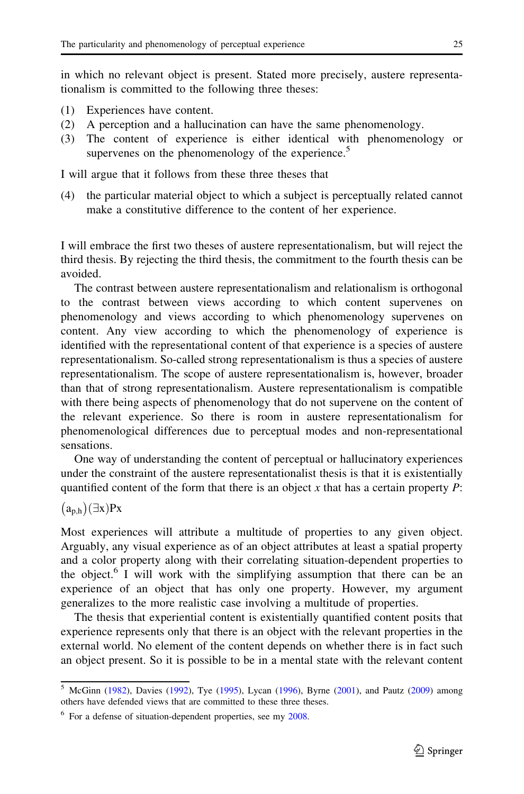in which no relevant object is present. Stated more precisely, austere representationalism is committed to the following three theses:

- (1) Experiences have content.
- (2) A perception and a hallucination can have the same phenomenology.
- (3) The content of experience is either identical with phenomenology or supervenes on the phenomenology of the experience.<sup>5</sup>

I will argue that it follows from these three theses that

(4) the particular material object to which a subject is perceptually related cannot make a constitutive difference to the content of her experience.

I will embrace the first two theses of austere representationalism, but will reject the third thesis. By rejecting the third thesis, the commitment to the fourth thesis can be avoided.

The contrast between austere representationalism and relationalism is orthogonal to the contrast between views according to which content supervenes on phenomenology and views according to which phenomenology supervenes on content. Any view according to which the phenomenology of experience is identified with the representational content of that experience is a species of austere representationalism. So-called strong representationalism is thus a species of austere representationalism. The scope of austere representationalism is, however, broader than that of strong representationalism. Austere representationalism is compatible with there being aspects of phenomenology that do not supervene on the content of the relevant experience. So there is room in austere representationalism for phenomenological differences due to perceptual modes and non-representational sensations.

One way of understanding the content of perceptual or hallucinatory experiences under the constraint of the austere representationalist thesis is that it is existentially quantified content of the form that there is an object x that has a certain property  $P$ :

# $\left( a_{p,h}\right) (\exists x)P x$

Most experiences will attribute a multitude of properties to any given object. Arguably, any visual experience as of an object attributes at least a spatial property and a color property along with their correlating situation-dependent properties to the object.<sup>6</sup> I will work with the simplifying assumption that there can be an experience of an object that has only one property. However, my argument generalizes to the more realistic case involving a multitude of properties.

The thesis that experiential content is existentially quantified content posits that experience represents only that there is an object with the relevant properties in the external world. No element of the content depends on whether there is in fact such an object present. So it is possible to be in a mental state with the relevant content

<sup>&</sup>lt;sup>5</sup> McGinn [\(1982](#page-28-0)), Davies [\(1992](#page-28-0)), Tye [\(1995](#page-29-0)), Lycan ([1996\)](#page-28-0), Byrne ([2001\)](#page-27-0), and Pautz ([2009\)](#page-28-0) among others have defended views that are committed to these three theses.

 $6$  For a defense of situation-dependent properties, see my  $2008$ .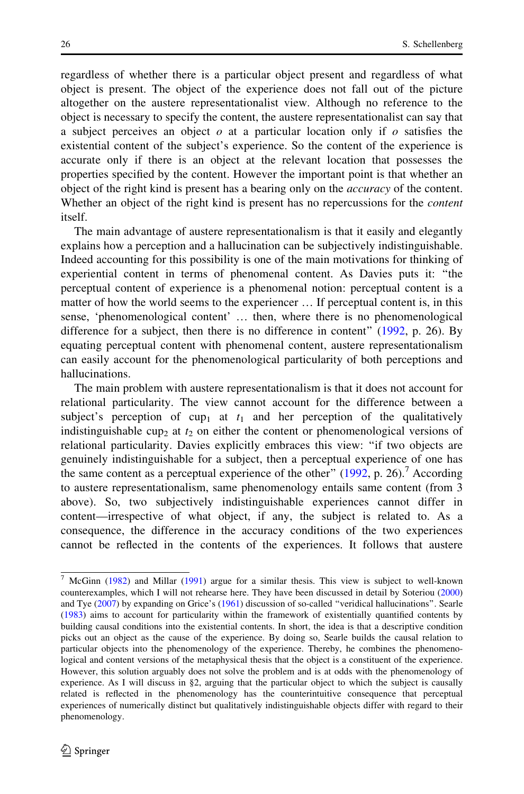regardless of whether there is a particular object present and regardless of what object is present. The object of the experience does not fall out of the picture altogether on the austere representationalist view. Although no reference to the object is necessary to specify the content, the austere representationalist can say that a subject perceives an object  $\sigma$  at a particular location only if  $\sigma$  satisfies the existential content of the subject's experience. So the content of the experience is accurate only if there is an object at the relevant location that possesses the properties specified by the content. However the important point is that whether an object of the right kind is present has a bearing only on the accuracy of the content. Whether an object of the right kind is present has no repercussions for the content itself.

The main advantage of austere representationalism is that it easily and elegantly explains how a perception and a hallucination can be subjectively indistinguishable. Indeed accounting for this possibility is one of the main motivations for thinking of experiential content in terms of phenomenal content. As Davies puts it: ''the perceptual content of experience is a phenomenal notion: perceptual content is a matter of how the world seems to the experiencer … If perceptual content is, in this sense, 'phenomenological content' … then, where there is no phenomenological difference for a subject, then there is no difference in content" ([1992,](#page-28-0) p. 26). By equating perceptual content with phenomenal content, austere representationalism can easily account for the phenomenological particularity of both perceptions and hallucinations.

The main problem with austere representationalism is that it does not account for relational particularity. The view cannot account for the difference between a subject's perception of cup<sub>1</sub> at  $t_1$  and her perception of the qualitatively indistinguishable cup<sub>2</sub> at  $t_2$  on either the content or phenomenological versions of relational particularity. Davies explicitly embraces this view: ''if two objects are genuinely indistinguishable for a subject, then a perceptual experience of one has the same content as a perceptual experience of the other"  $(1992, p. 26)$  $(1992, p. 26)$  $(1992, p. 26)$ .<sup>7</sup> According to austere representationalism, same phenomenology entails same content (from 3 above). So, two subjectively indistinguishable experiences cannot differ in content—irrespective of what object, if any, the subject is related to. As a consequence, the difference in the accuracy conditions of the two experiences cannot be reflected in the contents of the experiences. It follows that austere

<sup>&</sup>lt;sup>7</sup> McGinn ([1982\)](#page-28-0) and Millar ([1991](#page-28-0)) argue for a similar thesis. This view is subject to well-known counterexamples, which I will not rehearse here. They have been discussed in detail by Soteriou ([2000\)](#page-29-0) and Tye ([2007\)](#page-29-0) by expanding on Grice's ([1961](#page-28-0)) discussion of so-called ''veridical hallucinations''. Searle ([1983\)](#page-29-0) aims to account for particularity within the framework of existentially quantified contents by building causal conditions into the existential contents. In short, the idea is that a descriptive condition picks out an object as the cause of the experience. By doing so, Searle builds the causal relation to particular objects into the phenomenology of the experience. Thereby, he combines the phenomenological and content versions of the metaphysical thesis that the object is a constituent of the experience. However, this solution arguably does not solve the problem and is at odds with the phenomenology of experience. As I will discuss in §2, arguing that the particular object to which the subject is causally related is reflected in the phenomenology has the counterintuitive consequence that perceptual experiences of numerically distinct but qualitatively indistinguishable objects differ with regard to their phenomenology.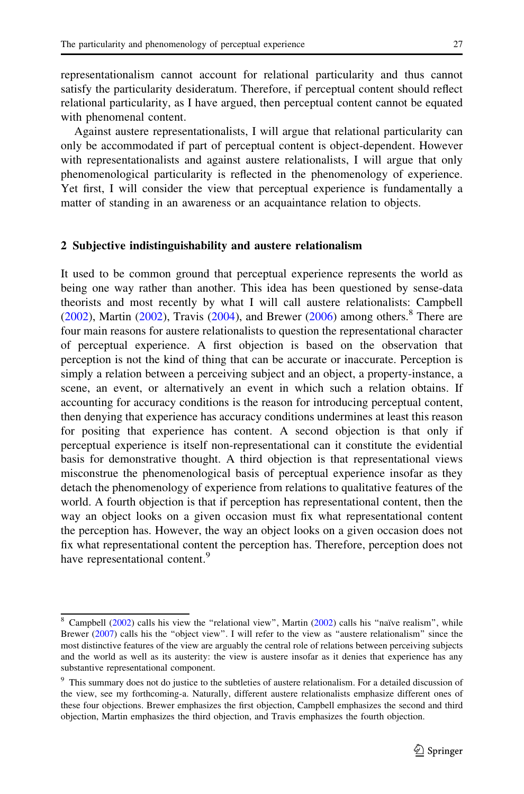representationalism cannot account for relational particularity and thus cannot satisfy the particularity desideratum. Therefore, if perceptual content should reflect relational particularity, as I have argued, then perceptual content cannot be equated with phenomenal content.

Against austere representationalists, I will argue that relational particularity can only be accommodated if part of perceptual content is object-dependent. However with representationalists and against austere relationalists, I will argue that only phenomenological particularity is reflected in the phenomenology of experience. Yet first, I will consider the view that perceptual experience is fundamentally a matter of standing in an awareness or an acquaintance relation to objects.

#### 2 Subjective indistinguishability and austere relationalism

It used to be common ground that perceptual experience represents the world as being one way rather than another. This idea has been questioned by sense-data theorists and most recently by what I will call austere relationalists: Campbell  $(2002)$  $(2002)$ , Martin  $(2002)$  $(2002)$ , Travis  $(2004)$  $(2004)$ , and Brewer  $(2006)$  $(2006)$  among others.<sup>8</sup> There are four main reasons for austere relationalists to question the representational character of perceptual experience. A first objection is based on the observation that perception is not the kind of thing that can be accurate or inaccurate. Perception is simply a relation between a perceiving subject and an object, a property-instance, a scene, an event, or alternatively an event in which such a relation obtains. If accounting for accuracy conditions is the reason for introducing perceptual content, then denying that experience has accuracy conditions undermines at least this reason for positing that experience has content. A second objection is that only if perceptual experience is itself non-representational can it constitute the evidential basis for demonstrative thought. A third objection is that representational views misconstrue the phenomenological basis of perceptual experience insofar as they detach the phenomenology of experience from relations to qualitative features of the world. A fourth objection is that if perception has representational content, then the way an object looks on a given occasion must fix what representational content the perception has. However, the way an object looks on a given occasion does not fix what representational content the perception has. Therefore, perception does not have representational content.<sup>9</sup>

 $8$  Campbell [\(2002](#page-27-0)) calls his view the "relational view", Martin ([2002](#page-28-0)) calls his "naïve realism", while Brewer ([2007\)](#page-27-0) calls his the "object view". I will refer to the view as "austere relationalism" since the most distinctive features of the view are arguably the central role of relations between perceiving subjects and the world as well as its austerity: the view is austere insofar as it denies that experience has any substantive representational component.

<sup>&</sup>lt;sup>9</sup> This summary does not do justice to the subtleties of austere relationalism. For a detailed discussion of the view, see my forthcoming-a. Naturally, different austere relationalists emphasize different ones of these four objections. Brewer emphasizes the first objection, Campbell emphasizes the second and third objection, Martin emphasizes the third objection, and Travis emphasizes the fourth objection.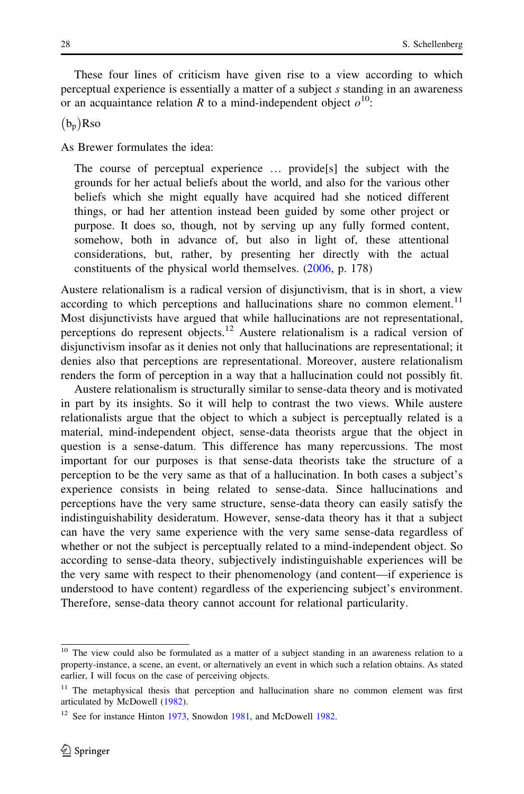These four lines of criticism have given rise to a view according to which perceptual experience is essentially a matter of a subject  $s$  standing in an awareness or an acquaintance relation R to a mind-independent object  $o^{10}$ .

 $(b_p)$ Rso

As Brewer formulates the idea:

The course of perceptual experience … provide[s] the subject with the grounds for her actual beliefs about the world, and also for the various other beliefs which she might equally have acquired had she noticed different things, or had her attention instead been guided by some other project or purpose. It does so, though, not by serving up any fully formed content, somehow, both in advance of, but also in light of, these attentional considerations, but, rather, by presenting her directly with the actual constituents of the physical world themselves. ([2006,](#page-27-0) p. 178)

Austere relationalism is a radical version of disjunctivism, that is in short, a view according to which perceptions and hallucinations share no common element.<sup>11</sup> Most disjunctivists have argued that while hallucinations are not representational, perceptions do represent objects.<sup>12</sup> Austere relationalism is a radical version of disjunctivism insofar as it denies not only that hallucinations are representational; it denies also that perceptions are representational. Moreover, austere relationalism renders the form of perception in a way that a hallucination could not possibly fit.

Austere relationalism is structurally similar to sense-data theory and is motivated in part by its insights. So it will help to contrast the two views. While austere relationalists argue that the object to which a subject is perceptually related is a material, mind-independent object, sense-data theorists argue that the object in question is a sense-datum. This difference has many repercussions. The most important for our purposes is that sense-data theorists take the structure of a perception to be the very same as that of a hallucination. In both cases a subject's experience consists in being related to sense-data. Since hallucinations and perceptions have the very same structure, sense-data theory can easily satisfy the indistinguishability desideratum. However, sense-data theory has it that a subject can have the very same experience with the very same sense-data regardless of whether or not the subject is perceptually related to a mind-independent object. So according to sense-data theory, subjectively indistinguishable experiences will be the very same with respect to their phenomenology (and content—if experience is understood to have content) regardless of the experiencing subject's environment. Therefore, sense-data theory cannot account for relational particularity.

<sup>&</sup>lt;sup>10</sup> The view could also be formulated as a matter of a subject standing in an awareness relation to a property-instance, a scene, an event, or alternatively an event in which such a relation obtains. As stated earlier, I will focus on the case of perceiving objects.

<sup>&</sup>lt;sup>11</sup> The metaphysical thesis that perception and hallucination share no common element was first articulated by McDowell [\(1982](#page-28-0)).

<sup>&</sup>lt;sup>12</sup> See for instance Hinton [1973,](#page-28-0) Snowdon [1981,](#page-29-0) and McDowell [1982](#page-28-0).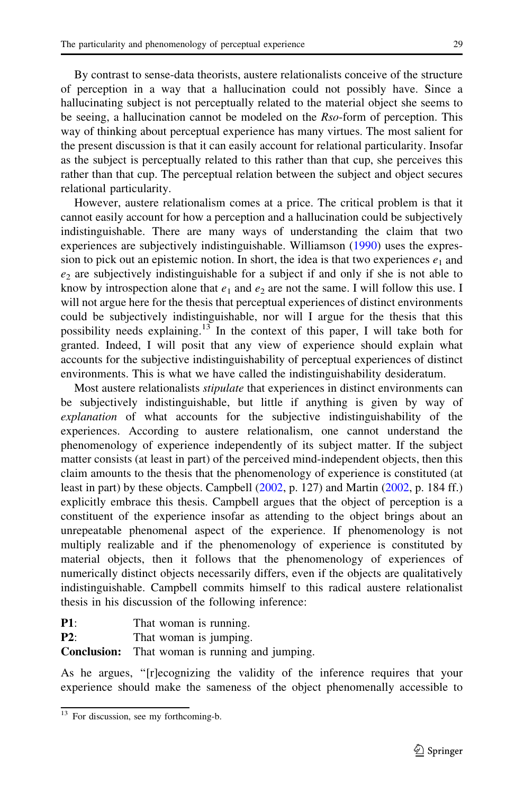By contrast to sense-data theorists, austere relationalists conceive of the structure of perception in a way that a hallucination could not possibly have. Since a hallucinating subject is not perceptually related to the material object she seems to be seeing, a hallucination cannot be modeled on the Rso-form of perception. This way of thinking about perceptual experience has many virtues. The most salient for the present discussion is that it can easily account for relational particularity. Insofar as the subject is perceptually related to this rather than that cup, she perceives this rather than that cup. The perceptual relation between the subject and object secures relational particularity.

However, austere relationalism comes at a price. The critical problem is that it cannot easily account for how a perception and a hallucination could be subjectively indistinguishable. There are many ways of understanding the claim that two experiences are subjectively indistinguishable. Williamson [\(1990](#page-29-0)) uses the expression to pick out an epistemic notion. In short, the idea is that two experiences  $e_1$  and  $e_2$  are subjectively indistinguishable for a subject if and only if she is not able to know by introspection alone that  $e_1$  and  $e_2$  are not the same. I will follow this use. I will not argue here for the thesis that perceptual experiences of distinct environments could be subjectively indistinguishable, nor will I argue for the thesis that this possibility needs explaining.<sup>13</sup> In the context of this paper, I will take both for granted. Indeed, I will posit that any view of experience should explain what accounts for the subjective indistinguishability of perceptual experiences of distinct environments. This is what we have called the indistinguishability desideratum.

Most austere relationalists *stipulate* that experiences in distinct environments can be subjectively indistinguishable, but little if anything is given by way of explanation of what accounts for the subjective indistinguishability of the experiences. According to austere relationalism, one cannot understand the phenomenology of experience independently of its subject matter. If the subject matter consists (at least in part) of the perceived mind-independent objects, then this claim amounts to the thesis that the phenomenology of experience is constituted (at least in part) by these objects. Campbell ([2002](#page-27-0), p. 127) and Martin [\(2002](#page-28-0), p. 184 ff.) explicitly embrace this thesis. Campbell argues that the object of perception is a constituent of the experience insofar as attending to the object brings about an unrepeatable phenomenal aspect of the experience. If phenomenology is not multiply realizable and if the phenomenology of experience is constituted by material objects, then it follows that the phenomenology of experiences of numerically distinct objects necessarily differs, even if the objects are qualitatively indistinguishable. Campbell commits himself to this radical austere relationalist thesis in his discussion of the following inference:

**P1:** That woman is running.

**P2:** That woman is jumping.

Conclusion: That woman is running and jumping.

As he argues, ''[r]ecognizing the validity of the inference requires that your experience should make the sameness of the object phenomenally accessible to

<sup>&</sup>lt;sup>13</sup> For discussion, see my forthcoming-b.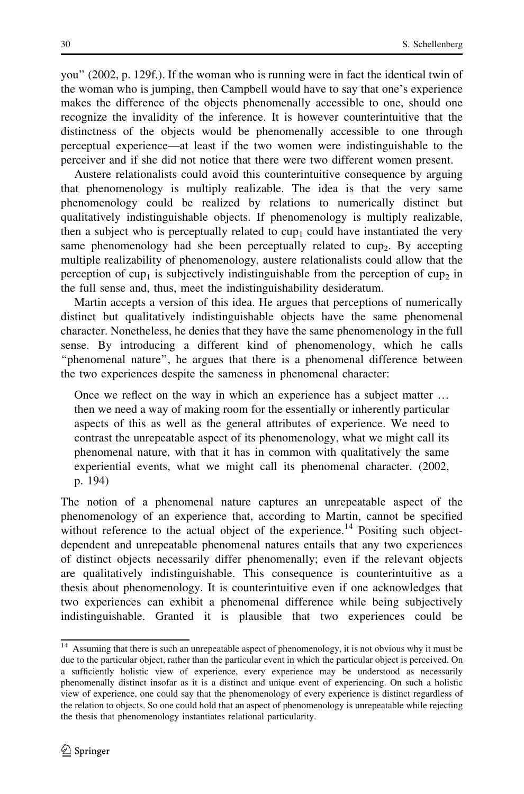you'' (2002, p. 129f.). If the woman who is running were in fact the identical twin of the woman who is jumping, then Campbell would have to say that one's experience makes the difference of the objects phenomenally accessible to one, should one recognize the invalidity of the inference. It is however counterintuitive that the distinctness of the objects would be phenomenally accessible to one through perceptual experience—at least if the two women were indistinguishable to the perceiver and if she did not notice that there were two different women present.

Austere relationalists could avoid this counterintuitive consequence by arguing that phenomenology is multiply realizable. The idea is that the very same phenomenology could be realized by relations to numerically distinct but qualitatively indistinguishable objects. If phenomenology is multiply realizable, then a subject who is perceptually related to  $cup_1$  could have instantiated the very same phenomenology had she been perceptually related to  $cup_2$ . By accepting multiple realizability of phenomenology, austere relationalists could allow that the perception of  $cup_1$  is subjectively indistinguishable from the perception of  $cup_2$  in the full sense and, thus, meet the indistinguishability desideratum.

Martin accepts a version of this idea. He argues that perceptions of numerically distinct but qualitatively indistinguishable objects have the same phenomenal character. Nonetheless, he denies that they have the same phenomenology in the full sense. By introducing a different kind of phenomenology, which he calls "phenomenal nature", he argues that there is a phenomenal difference between the two experiences despite the sameness in phenomenal character:

Once we reflect on the way in which an experience has a subject matter … then we need a way of making room for the essentially or inherently particular aspects of this as well as the general attributes of experience. We need to contrast the unrepeatable aspect of its phenomenology, what we might call its phenomenal nature, with that it has in common with qualitatively the same experiential events, what we might call its phenomenal character. (2002, p. 194)

The notion of a phenomenal nature captures an unrepeatable aspect of the phenomenology of an experience that, according to Martin, cannot be specified without reference to the actual object of the experience.<sup>14</sup> Positing such objectdependent and unrepeatable phenomenal natures entails that any two experiences of distinct objects necessarily differ phenomenally; even if the relevant objects are qualitatively indistinguishable. This consequence is counterintuitive as a thesis about phenomenology. It is counterintuitive even if one acknowledges that two experiences can exhibit a phenomenal difference while being subjectively indistinguishable. Granted it is plausible that two experiences could be

 $14$  Assuming that there is such an unrepeatable aspect of phenomenology, it is not obvious why it must be due to the particular object, rather than the particular event in which the particular object is perceived. On a sufficiently holistic view of experience, every experience may be understood as necessarily phenomenally distinct insofar as it is a distinct and unique event of experiencing. On such a holistic view of experience, one could say that the phenomenology of every experience is distinct regardless of the relation to objects. So one could hold that an aspect of phenomenology is unrepeatable while rejecting the thesis that phenomenology instantiates relational particularity.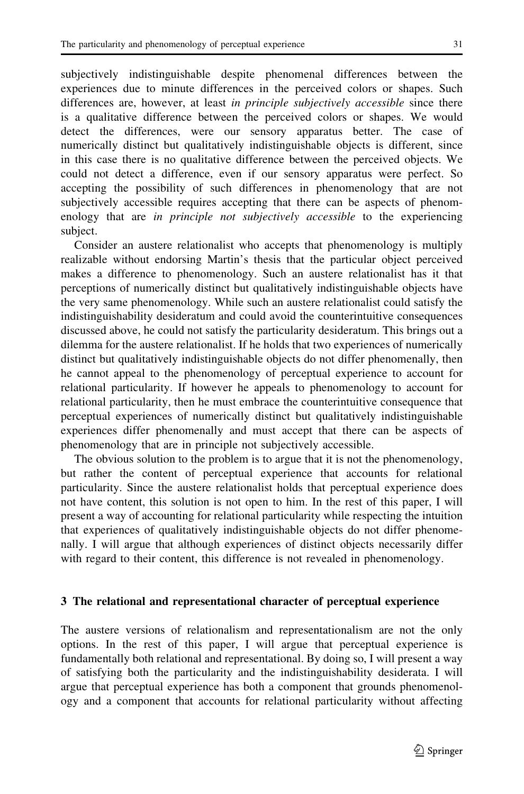subjectively indistinguishable despite phenomenal differences between the experiences due to minute differences in the perceived colors or shapes. Such differences are, however, at least in principle subjectively accessible since there is a qualitative difference between the perceived colors or shapes. We would detect the differences, were our sensory apparatus better. The case of numerically distinct but qualitatively indistinguishable objects is different, since in this case there is no qualitative difference between the perceived objects. We could not detect a difference, even if our sensory apparatus were perfect. So accepting the possibility of such differences in phenomenology that are not subjectively accessible requires accepting that there can be aspects of phenomenology that are *in principle not subjectively accessible* to the experiencing subject.

Consider an austere relationalist who accepts that phenomenology is multiply realizable without endorsing Martin's thesis that the particular object perceived makes a difference to phenomenology. Such an austere relationalist has it that perceptions of numerically distinct but qualitatively indistinguishable objects have the very same phenomenology. While such an austere relationalist could satisfy the indistinguishability desideratum and could avoid the counterintuitive consequences discussed above, he could not satisfy the particularity desideratum. This brings out a dilemma for the austere relationalist. If he holds that two experiences of numerically distinct but qualitatively indistinguishable objects do not differ phenomenally, then he cannot appeal to the phenomenology of perceptual experience to account for relational particularity. If however he appeals to phenomenology to account for relational particularity, then he must embrace the counterintuitive consequence that perceptual experiences of numerically distinct but qualitatively indistinguishable experiences differ phenomenally and must accept that there can be aspects of phenomenology that are in principle not subjectively accessible.

The obvious solution to the problem is to argue that it is not the phenomenology, but rather the content of perceptual experience that accounts for relational particularity. Since the austere relationalist holds that perceptual experience does not have content, this solution is not open to him. In the rest of this paper, I will present a way of accounting for relational particularity while respecting the intuition that experiences of qualitatively indistinguishable objects do not differ phenomenally. I will argue that although experiences of distinct objects necessarily differ with regard to their content, this difference is not revealed in phenomenology.

# 3 The relational and representational character of perceptual experience

The austere versions of relationalism and representationalism are not the only options. In the rest of this paper, I will argue that perceptual experience is fundamentally both relational and representational. By doing so, I will present a way of satisfying both the particularity and the indistinguishability desiderata. I will argue that perceptual experience has both a component that grounds phenomenology and a component that accounts for relational particularity without affecting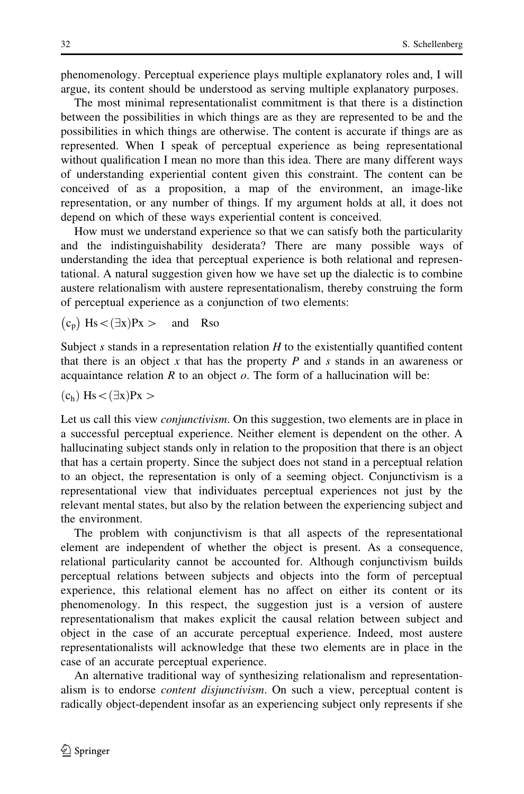phenomenology. Perceptual experience plays multiple explanatory roles and, I will argue, its content should be understood as serving multiple explanatory purposes.

The most minimal representationalist commitment is that there is a distinction between the possibilities in which things are as they are represented to be and the possibilities in which things are otherwise. The content is accurate if things are as represented. When I speak of perceptual experience as being representational without qualification I mean no more than this idea. There are many different ways of understanding experiential content given this constraint. The content can be conceived of as a proposition, a map of the environment, an image-like representation, or any number of things. If my argument holds at all, it does not depend on which of these ways experiential content is conceived.

How must we understand experience so that we can satisfy both the particularity and the indistinguishability desiderata? There are many possible ways of understanding the idea that perceptual experience is both relational and representational. A natural suggestion given how we have set up the dialectic is to combine austere relationalism with austere representationalism, thereby construing the form of perceptual experience as a conjunction of two elements:

 $(c_p)$  Hs  $\langle \exists x$ )Px > and Rso

Subject  $s$  stands in a representation relation  $H$  to the existentially quantified content that there is an object x that has the property  $P$  and s stands in an awareness or acquaintance relation  $R$  to an object  $o$ . The form of a hallucination will be:

 $(c_h)$  Hs  $\lt$  ( $\exists x)$ Px  $>$ 

Let us call this view *conjunctivism*. On this suggestion, two elements are in place in a successful perceptual experience. Neither element is dependent on the other. A hallucinating subject stands only in relation to the proposition that there is an object that has a certain property. Since the subject does not stand in a perceptual relation to an object, the representation is only of a seeming object. Conjunctivism is a representational view that individuates perceptual experiences not just by the relevant mental states, but also by the relation between the experiencing subject and the environment.

The problem with conjunctivism is that all aspects of the representational element are independent of whether the object is present. As a consequence, relational particularity cannot be accounted for. Although conjunctivism builds perceptual relations between subjects and objects into the form of perceptual experience, this relational element has no affect on either its content or its phenomenology. In this respect, the suggestion just is a version of austere representationalism that makes explicit the causal relation between subject and object in the case of an accurate perceptual experience. Indeed, most austere representationalists will acknowledge that these two elements are in place in the case of an accurate perceptual experience.

An alternative traditional way of synthesizing relationalism and representationalism is to endorse *content disjunctivism*. On such a view, perceptual content is radically object-dependent insofar as an experiencing subject only represents if she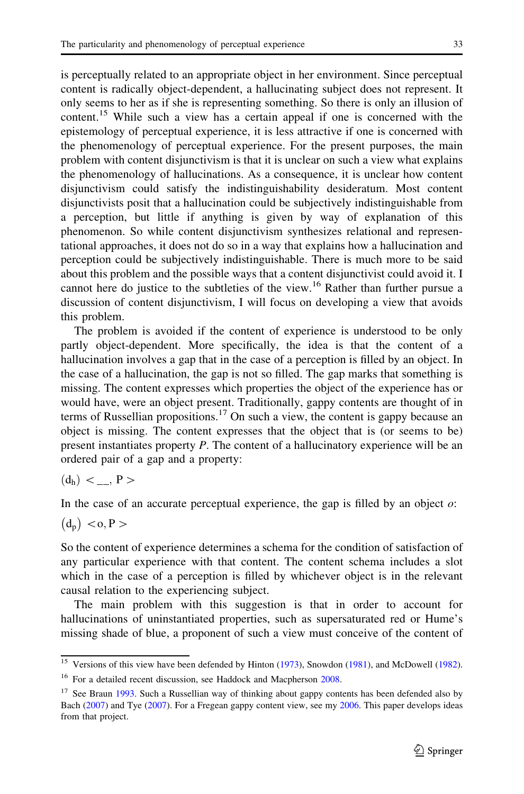is perceptually related to an appropriate object in her environment. Since perceptual content is radically object-dependent, a hallucinating subject does not represent. It only seems to her as if she is representing something. So there is only an illusion of content.<sup>15</sup> While such a view has a certain appeal if one is concerned with the epistemology of perceptual experience, it is less attractive if one is concerned with the phenomenology of perceptual experience. For the present purposes, the main problem with content disjunctivism is that it is unclear on such a view what explains the phenomenology of hallucinations. As a consequence, it is unclear how content disjunctivism could satisfy the indistinguishability desideratum. Most content disjunctivists posit that a hallucination could be subjectively indistinguishable from a perception, but little if anything is given by way of explanation of this phenomenon. So while content disjunctivism synthesizes relational and representational approaches, it does not do so in a way that explains how a hallucination and perception could be subjectively indistinguishable. There is much more to be said about this problem and the possible ways that a content disjunctivist could avoid it. I cannot here do justice to the subtleties of the view.<sup>16</sup> Rather than further pursue a discussion of content disjunctivism, I will focus on developing a view that avoids this problem.

The problem is avoided if the content of experience is understood to be only partly object-dependent. More specifically, the idea is that the content of a hallucination involves a gap that in the case of a perception is filled by an object. In the case of a hallucination, the gap is not so filled. The gap marks that something is missing. The content expresses which properties the object of the experience has or would have, were an object present. Traditionally, gappy contents are thought of in terms of Russellian propositions.<sup>17</sup> On such a view, the content is gappy because an object is missing. The content expresses that the object that is (or seems to be) present instantiates property P. The content of a hallucinatory experience will be an ordered pair of a gap and a property:

$$
(d_h)\, <\_\_, P>
$$

In the case of an accurate perceptual experience, the gap is filled by an object o:

$$
\left( d_{p}\right) \ <\!o,P>
$$

So the content of experience determines a schema for the condition of satisfaction of any particular experience with that content. The content schema includes a slot which in the case of a perception is filled by whichever object is in the relevant causal relation to the experiencing subject.

The main problem with this suggestion is that in order to account for hallucinations of uninstantiated properties, such as supersaturated red or Hume's missing shade of blue, a proponent of such a view must conceive of the content of

<sup>&</sup>lt;sup>15</sup> Versions of this view have been defended by Hinton ([1973\)](#page-28-0), Snowdon [\(1981](#page-29-0)), and McDowell ([1982\)](#page-28-0).

<sup>&</sup>lt;sup>16</sup> For a detailed recent discussion, see Haddock and Macpherson [2008](#page-28-0).

<sup>&</sup>lt;sup>17</sup> See Braun [1993.](#page-27-0) Such a Russellian way of thinking about gappy contents has been defended also by Bach [\(2007](#page-27-0)) and Tye ([2007\)](#page-29-0). For a Fregean gappy content view, see my [2006](#page-28-0). This paper develops ideas from that project.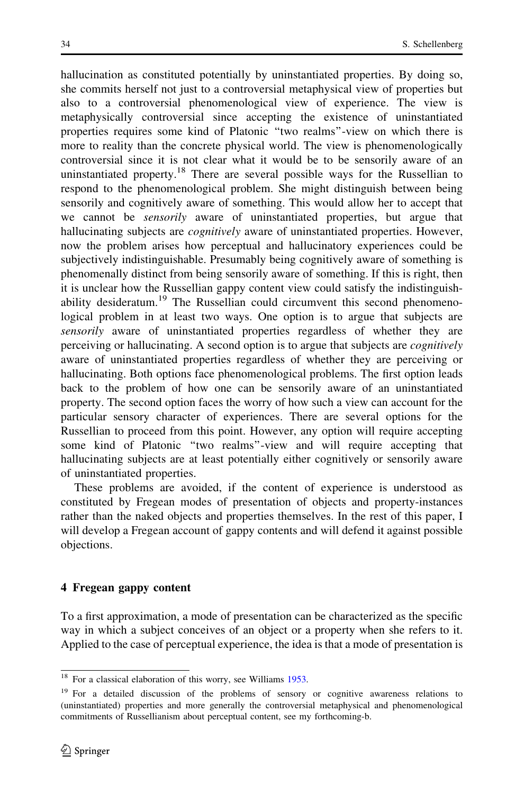hallucination as constituted potentially by uninstantiated properties. By doing so, she commits herself not just to a controversial metaphysical view of properties but also to a controversial phenomenological view of experience. The view is metaphysically controversial since accepting the existence of uninstantiated properties requires some kind of Platonic ''two realms''-view on which there is more to reality than the concrete physical world. The view is phenomenologically controversial since it is not clear what it would be to be sensorily aware of an uninstantiated property.<sup>18</sup> There are several possible ways for the Russellian to respond to the phenomenological problem. She might distinguish between being sensorily and cognitively aware of something. This would allow her to accept that we cannot be sensorily aware of uninstantiated properties, but argue that hallucinating subjects are *cognitively* aware of uninstantiated properties. However, now the problem arises how perceptual and hallucinatory experiences could be subjectively indistinguishable. Presumably being cognitively aware of something is phenomenally distinct from being sensorily aware of something. If this is right, then it is unclear how the Russellian gappy content view could satisfy the indistinguishability desideratum.<sup>19</sup> The Russellian could circumvent this second phenomenological problem in at least two ways. One option is to argue that subjects are sensorily aware of uninstantiated properties regardless of whether they are perceiving or hallucinating. A second option is to argue that subjects are cognitively aware of uninstantiated properties regardless of whether they are perceiving or hallucinating. Both options face phenomenological problems. The first option leads back to the problem of how one can be sensorily aware of an uninstantiated property. The second option faces the worry of how such a view can account for the particular sensory character of experiences. There are several options for the Russellian to proceed from this point. However, any option will require accepting some kind of Platonic ''two realms''-view and will require accepting that hallucinating subjects are at least potentially either cognitively or sensorily aware of uninstantiated properties.

These problems are avoided, if the content of experience is understood as constituted by Fregean modes of presentation of objects and property-instances rather than the naked objects and properties themselves. In the rest of this paper, I will develop a Fregean account of gappy contents and will defend it against possible objections.

# 4 Fregean gappy content

To a first approximation, a mode of presentation can be characterized as the specific way in which a subject conceives of an object or a property when she refers to it. Applied to the case of perceptual experience, the idea is that a mode of presentation is

<sup>&</sup>lt;sup>18</sup> For a classical elaboration of this worry, see Williams [1953.](#page-29-0)

<sup>&</sup>lt;sup>19</sup> For a detailed discussion of the problems of sensory or cognitive awareness relations to (uninstantiated) properties and more generally the controversial metaphysical and phenomenological commitments of Russellianism about perceptual content, see my forthcoming-b.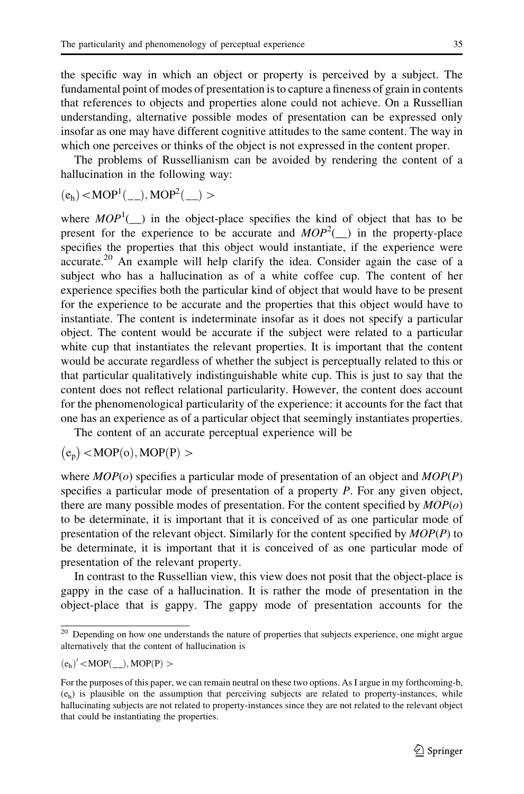the specific way in which an object or property is perceived by a subject. The fundamental point of modes of presentation is to capture a fineness of grain in contents that references to objects and properties alone could not achieve. On a Russellian understanding, alternative possible modes of presentation can be expressed only insofar as one may have different cognitive attitudes to the same content. The way in which one perceives or thinks of the object is not expressed in the content proper.

The problems of Russellianism can be avoided by rendering the content of a hallucination in the following way:

$$
(e_h) < \text{MOP}^1(\_\_), \text{MOP}^2(\_\_) >
$$

where  $MOP^1$ ( $\Box$ ) in the object-place specifies the kind of object that has to be present for the experience to be accurate and  $MOP<sup>2</sup>(\_)$  in the property-place specifies the properties that this object would instantiate, if the experience were accurate.<sup>20</sup> An example will help clarify the idea. Consider again the case of a subject who has a hallucination as of a white coffee cup. The content of her experience specifies both the particular kind of object that would have to be present for the experience to be accurate and the properties that this object would have to instantiate. The content is indeterminate insofar as it does not specify a particular object. The content would be accurate if the subject were related to a particular white cup that instantiates the relevant properties. It is important that the content would be accurate regardless of whether the subject is perceptually related to this or that particular qualitatively indistinguishable white cup. This is just to say that the content does not reflect relational particularity. However, the content does account for the phenomenological particularity of the experience: it accounts for the fact that one has an experience as of a particular object that seemingly instantiates properties.

The content of an accurate perceptual experience will be

$$
\left( e_{p}\right) \!<\! MOP(o),MOP(P)>
$$

where  $MOP$ ( $o$ ) specifies a particular mode of presentation of an object and  $MOP$ ( $P$ ) specifies a particular mode of presentation of a property P. For any given object, there are many possible modes of presentation. For the content specified by  $MOP(o)$ to be determinate, it is important that it is conceived of as one particular mode of presentation of the relevant object. Similarly for the content specified by  $MOP(P)$  to be determinate, it is important that it is conceived of as one particular mode of presentation of the relevant property.

In contrast to the Russellian view, this view does not posit that the object-place is gappy in the case of a hallucination. It is rather the mode of presentation in the object-place that is gappy. The gappy mode of presentation accounts for the

<sup>&</sup>lt;sup>20</sup> Depending on how one understands the nature of properties that subjects experience, one might argue alternatively that the content of hallucination is

 $(e_h)'$  < MOP(\_\_), MOP(P) >

For the purposes of this paper, we can remain neutral on these two options. As I argue in my forthcoming-b, (eh) is plausible on the assumption that perceiving subjects are related to property-instances, while hallucinating subjects are not related to property-instances since they are not related to the relevant object that could be instantiating the properties.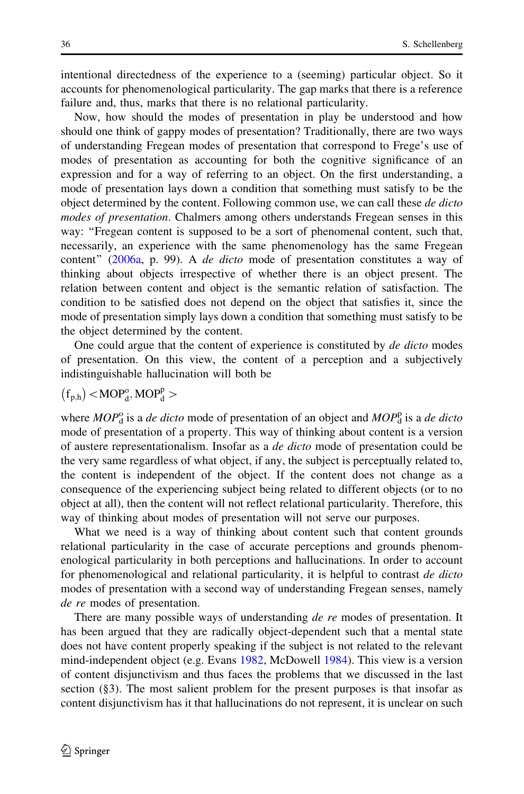intentional directedness of the experience to a (seeming) particular object. So it accounts for phenomenological particularity. The gap marks that there is a reference failure and, thus, marks that there is no relational particularity.

Now, how should the modes of presentation in play be understood and how should one think of gappy modes of presentation? Traditionally, there are two ways of understanding Fregean modes of presentation that correspond to Frege's use of modes of presentation as accounting for both the cognitive significance of an expression and for a way of referring to an object. On the first understanding, a mode of presentation lays down a condition that something must satisfy to be the object determined by the content. Following common use, we can call these *de dicto* modes of presentation. Chalmers among others understands Fregean senses in this way: "Fregean content is supposed to be a sort of phenomenal content, such that, necessarily, an experience with the same phenomenology has the same Fregean content'' [\(2006a](#page-28-0), p. 99). A de dicto mode of presentation constitutes a way of thinking about objects irrespective of whether there is an object present. The relation between content and object is the semantic relation of satisfaction. The condition to be satisfied does not depend on the object that satisfies it, since the mode of presentation simply lays down a condition that something must satisfy to be the object determined by the content.

One could argue that the content of experience is constituted by *de dicto* modes of presentation. On this view, the content of a perception and a subjectively indistinguishable hallucination will both be

 $(f_{p,h}) < MOP_d^o, MOP_d^p >$ 

where  $MOP_d^0$  is a de dicto mode of presentation of an object and  $MOP_d^0$  is a de dicto mode of presentation of a property. This way of thinking about content is a version of austere representationalism. Insofar as a de dicto mode of presentation could be the very same regardless of what object, if any, the subject is perceptually related to, the content is independent of the object. If the content does not change as a consequence of the experiencing subject being related to different objects (or to no object at all), then the content will not reflect relational particularity. Therefore, this way of thinking about modes of presentation will not serve our purposes.

What we need is a way of thinking about content such that content grounds relational particularity in the case of accurate perceptions and grounds phenomenological particularity in both perceptions and hallucinations. In order to account for phenomenological and relational particularity, it is helpful to contrast *de dicto* modes of presentation with a second way of understanding Fregean senses, namely de re modes of presentation.

There are many possible ways of understanding *de re* modes of presentation. It has been argued that they are radically object-dependent such that a mental state does not have content properly speaking if the subject is not related to the relevant mind-independent object (e.g. Evans [1982](#page-28-0), McDowell [1984\)](#page-28-0). This view is a version of content disjunctivism and thus faces the problems that we discussed in the last section (§3). The most salient problem for the present purposes is that insofar as content disjunctivism has it that hallucinations do not represent, it is unclear on such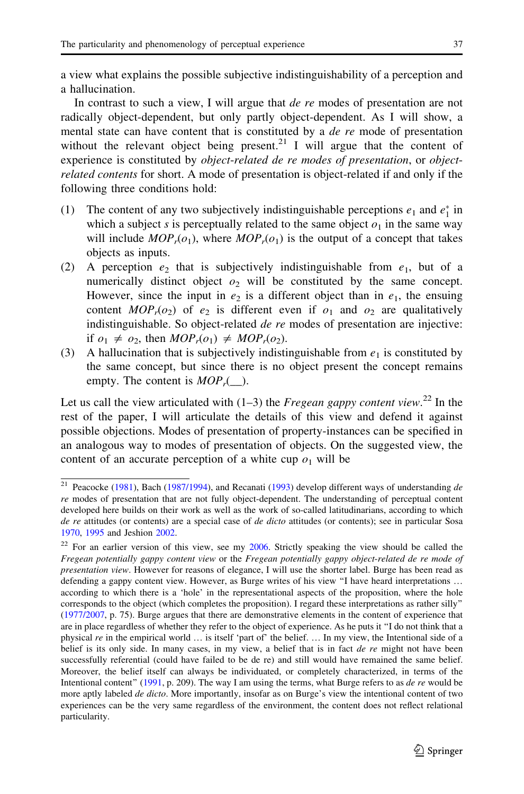a view what explains the possible subjective indistinguishability of a perception and a hallucination.

In contrast to such a view, I will argue that *de re* modes of presentation are not radically object-dependent, but only partly object-dependent. As I will show, a mental state can have content that is constituted by a *de re* mode of presentation without the relevant object being present.<sup>21</sup> I will argue that the content of experience is constituted by *object-related de re modes of presentation*, or *object*related contents for short. A mode of presentation is object-related if and only if the following three conditions hold:

- (1) The content of any two subjectively indistinguishable perceptions  $e_1$  and  $e_1^*$  in which a subject s is perceptually related to the same object  $o_1$  in the same way will include  $MOP<sub>r</sub>(o<sub>1</sub>)$ , where  $MOP<sub>r</sub>(o<sub>1</sub>)$  is the output of a concept that takes objects as inputs.
- (2) A perception  $e_2$  that is subjectively indistinguishable from  $e_1$ , but of a numerically distinct object  $o_2$  will be constituted by the same concept. However, since the input in  $e_2$  is a different object than in  $e_1$ , the ensuing content  $MOP<sub>r</sub>(o<sub>2</sub>)$  of  $e<sub>2</sub>$  is different even if  $o<sub>1</sub>$  and  $o<sub>2</sub>$  are qualitatively indistinguishable. So object-related de re modes of presentation are injective: if  $o_1 \neq o_2$ , then  $MOP_r(o_1) \neq MOP_r(o_2)$ .
- (3) A hallucination that is subjectively indistinguishable from  $e_1$  is constituted by the same concept, but since there is no object present the concept remains empty. The content is  $MOP_r(\_)$ .

Let us call the view articulated with  $(1-3)$  the *Fregean gappy content view*.<sup>22</sup> In the rest of the paper, I will articulate the details of this view and defend it against possible objections. Modes of presentation of property-instances can be specified in an analogous way to modes of presentation of objects. On the suggested view, the content of an accurate perception of a white cup  $o_1$  will be

<sup>&</sup>lt;sup>21</sup> Peacocke [\(1981\)](#page-28-0), Bach [\(1987/1994](#page-27-0)), and Recanati ([1993\)](#page-28-0) develop different ways of understanding de re modes of presentation that are not fully object-dependent. The understanding of perceptual content developed here builds on their work as well as the work of so-called latitudinarians, according to which de re attitudes (or contents) are a special case of de dicto attitudes (or contents); see in particular Sosa [1970,](#page-29-0) [1995](#page-29-0) and Jeshion [2002.](#page-28-0)

 $22$  For an earlier version of this view, see my [2006](#page-28-0). Strictly speaking the view should be called the Fregean potentially gappy content view or the Fregean potentially gappy object-related de re mode of presentation view. However for reasons of elegance, I will use the shorter label. Burge has been read as defending a gappy content view. However, as Burge writes of his view "I have heard interpretations ... according to which there is a 'hole' in the representational aspects of the proposition, where the hole corresponds to the object (which completes the proposition). I regard these interpretations as rather silly'' ([1977/2007,](#page-27-0) p. 75). Burge argues that there are demonstrative elements in the content of experience that are in place regardless of whether they refer to the object of experience. As he puts it ''I do not think that a physical re in the empirical world … is itself 'part of' the belief. … In my view, the Intentional side of a belief is its only side. In many cases, in my view, a belief that is in fact de re might not have been successfully referential (could have failed to be de re) and still would have remained the same belief. Moreover, the belief itself can always be individuated, or completely characterized, in terms of the Intentional content" [\(1991](#page-27-0), p. 209). The way I am using the terms, what Burge refers to as  $de re$  would be more aptly labeled de dicto. More importantly, insofar as on Burge's view the intentional content of two experiences can be the very same regardless of the environment, the content does not reflect relational particularity.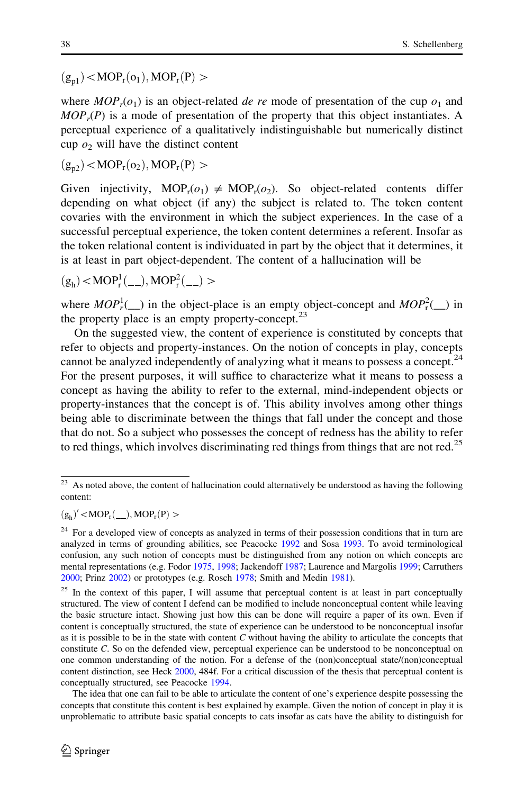$(g_{p1}) < MOP_r(o_1)$ ,  $MOP_r(P) >$ 

where  $MOP<sub>r</sub>(o<sub>1</sub>)$  is an object-related *de re* mode of presentation of the cup  $o<sub>1</sub>$  and  $MOP<sub>r</sub>(P)$  is a mode of presentation of the property that this object instantiates. A perceptual experience of a qualitatively indistinguishable but numerically distinct cup  $o_2$  will have the distinct content

$$
(g_{p2})\!<\!MOP_r(o_2),MOP_r(P)>
$$

Given injectivity,  $MOP_r(o_1) \neq MOP_r(o_2)$ . So object-related contents differ depending on what object (if any) the subject is related to. The token content covaries with the environment in which the subject experiences. In the case of a successful perceptual experience, the token content determines a referent. Insofar as the token relational content is individuated in part by the object that it determines, it is at least in part object-dependent. The content of a hallucination will be

$$
(g_h) < \text{MOP}_r^1(\_\_), \text{MOP}_r^2(\_\_) >
$$

where  $MOP_r^1$ ( ) in the object-place is an empty object-concept and  $MOP_r^2$  in the property place is an empty property-concept.<sup>23</sup>

On the suggested view, the content of experience is constituted by concepts that refer to objects and property-instances. On the notion of concepts in play, concepts cannot be analyzed independently of analyzing what it means to possess a concept. $^{24}$ For the present purposes, it will suffice to characterize what it means to possess a concept as having the ability to refer to the external, mind-independent objects or property-instances that the concept is of. This ability involves among other things being able to discriminate between the things that fall under the concept and those that do not. So a subject who possesses the concept of redness has the ability to refer to red things, which involves discriminating red things from things that are not red.<sup>25</sup>

The idea that one can fail to be able to articulate the content of one's experience despite possessing the concepts that constitute this content is best explained by example. Given the notion of concept in play it is unproblematic to attribute basic spatial concepts to cats insofar as cats have the ability to distinguish for

 $\frac{23}{23}$  As noted above, the content of hallucination could alternatively be understood as having the following content:

 $(g_h)' < MOP_r(\_\!\_), MOP_r(P) >$ 

<sup>&</sup>lt;sup>24</sup> For a developed view of concepts as analyzed in terms of their possession conditions that in turn are analyzed in terms of grounding abilities, see Peacocke [1992](#page-28-0) and Sosa [1993.](#page-29-0) To avoid terminological confusion, any such notion of concepts must be distinguished from any notion on which concepts are mental representations (e.g. Fodor [1975,](#page-28-0) [1998;](#page-28-0) Jackendoff [1987;](#page-28-0) Laurence and Margolis [1999;](#page-28-0) Carruthers [2000;](#page-27-0) Prinz [2002](#page-28-0)) or prototypes (e.g. Rosch [1978](#page-28-0); Smith and Medin [1981](#page-29-0)).

 $25$  In the context of this paper, I will assume that perceptual content is at least in part conceptually structured. The view of content I defend can be modified to include nonconceptual content while leaving the basic structure intact. Showing just how this can be done will require a paper of its own. Even if content is conceptually structured, the state of experience can be understood to be nonconceptual insofar as it is possible to be in the state with content  $C$  without having the ability to articulate the concepts that constitute C. So on the defended view, perceptual experience can be understood to be nonconceptual on one common understanding of the notion. For a defense of the (non)conceptual state/(non)conceptual content distinction, see Heck [2000,](#page-28-0) 484f. For a critical discussion of the thesis that perceptual content is conceptually structured, see Peacocke [1994.](#page-28-0)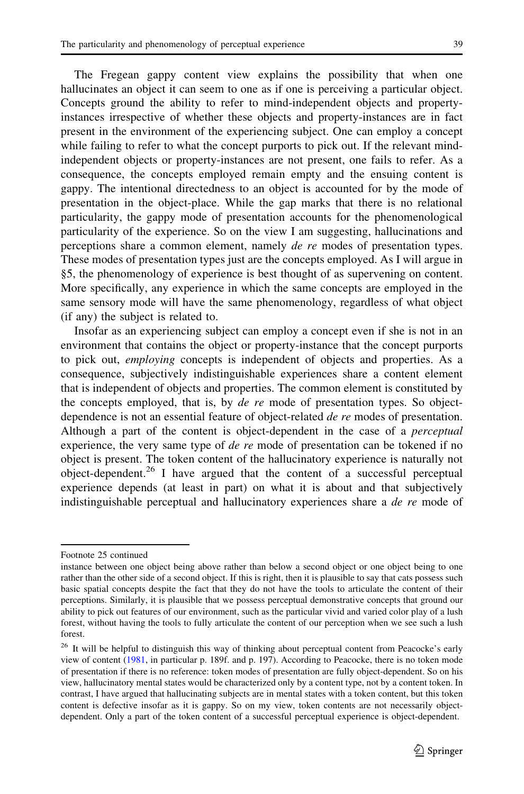The Fregean gappy content view explains the possibility that when one hallucinates an object it can seem to one as if one is perceiving a particular object. Concepts ground the ability to refer to mind-independent objects and propertyinstances irrespective of whether these objects and property-instances are in fact present in the environment of the experiencing subject. One can employ a concept while failing to refer to what the concept purports to pick out. If the relevant mindindependent objects or property-instances are not present, one fails to refer. As a consequence, the concepts employed remain empty and the ensuing content is gappy. The intentional directedness to an object is accounted for by the mode of presentation in the object-place. While the gap marks that there is no relational particularity, the gappy mode of presentation accounts for the phenomenological particularity of the experience. So on the view I am suggesting, hallucinations and perceptions share a common element, namely de re modes of presentation types. These modes of presentation types just are the concepts employed. As I will argue in §5, the phenomenology of experience is best thought of as supervening on content. More specifically, any experience in which the same concepts are employed in the same sensory mode will have the same phenomenology, regardless of what object (if any) the subject is related to.

Insofar as an experiencing subject can employ a concept even if she is not in an environment that contains the object or property-instance that the concept purports to pick out, employing concepts is independent of objects and properties. As a consequence, subjectively indistinguishable experiences share a content element that is independent of objects and properties. The common element is constituted by the concepts employed, that is, by de re mode of presentation types. So objectdependence is not an essential feature of object-related *de re* modes of presentation. Although a part of the content is object-dependent in the case of a perceptual experience, the very same type of *de re* mode of presentation can be tokened if no object is present. The token content of the hallucinatory experience is naturally not object-dependent.<sup>26</sup> I have argued that the content of a successful perceptual experience depends (at least in part) on what it is about and that subjectively indistinguishable perceptual and hallucinatory experiences share a de re mode of

Footnote 25 continued

instance between one object being above rather than below a second object or one object being to one rather than the other side of a second object. If this is right, then it is plausible to say that cats possess such basic spatial concepts despite the fact that they do not have the tools to articulate the content of their perceptions. Similarly, it is plausible that we possess perceptual demonstrative concepts that ground our ability to pick out features of our environment, such as the particular vivid and varied color play of a lush forest, without having the tools to fully articulate the content of our perception when we see such a lush forest.

<sup>&</sup>lt;sup>26</sup> It will be helpful to distinguish this way of thinking about perceptual content from Peacocke's early view of content [\(1981](#page-28-0), in particular p. 189f. and p. 197). According to Peacocke, there is no token mode of presentation if there is no reference: token modes of presentation are fully object-dependent. So on his view, hallucinatory mental states would be characterized only by a content type, not by a content token. In contrast, I have argued that hallucinating subjects are in mental states with a token content, but this token content is defective insofar as it is gappy. So on my view, token contents are not necessarily objectdependent. Only a part of the token content of a successful perceptual experience is object-dependent.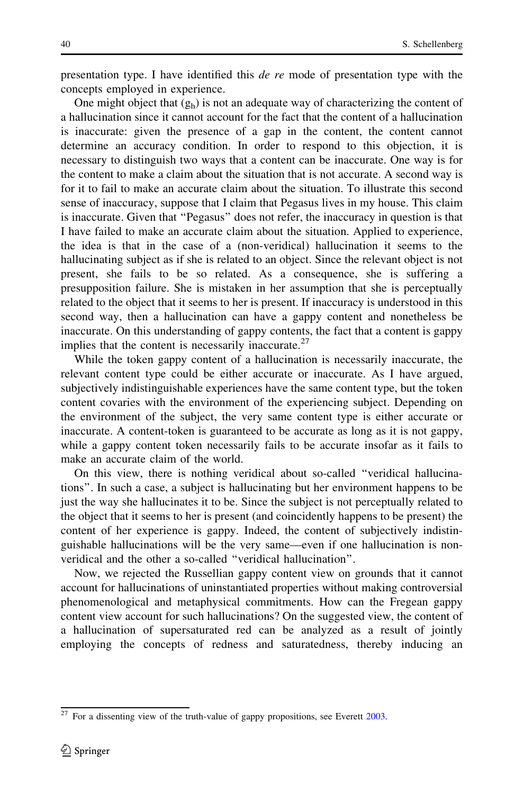presentation type. I have identified this de re mode of presentation type with the concepts employed in experience.

One might object that  $(g_h)$  is not an adequate way of characterizing the content of a hallucination since it cannot account for the fact that the content of a hallucination is inaccurate: given the presence of a gap in the content, the content cannot determine an accuracy condition. In order to respond to this objection, it is necessary to distinguish two ways that a content can be inaccurate. One way is for the content to make a claim about the situation that is not accurate. A second way is for it to fail to make an accurate claim about the situation. To illustrate this second sense of inaccuracy, suppose that I claim that Pegasus lives in my house. This claim is inaccurate. Given that ''Pegasus'' does not refer, the inaccuracy in question is that I have failed to make an accurate claim about the situation. Applied to experience, the idea is that in the case of a (non-veridical) hallucination it seems to the hallucinating subject as if she is related to an object. Since the relevant object is not present, she fails to be so related. As a consequence, she is suffering a presupposition failure. She is mistaken in her assumption that she is perceptually related to the object that it seems to her is present. If inaccuracy is understood in this second way, then a hallucination can have a gappy content and nonetheless be inaccurate. On this understanding of gappy contents, the fact that a content is gappy implies that the content is necessarily inaccurate. $27$ 

While the token gappy content of a hallucination is necessarily inaccurate, the relevant content type could be either accurate or inaccurate. As I have argued, subjectively indistinguishable experiences have the same content type, but the token content covaries with the environment of the experiencing subject. Depending on the environment of the subject, the very same content type is either accurate or inaccurate. A content-token is guaranteed to be accurate as long as it is not gappy, while a gappy content token necessarily fails to be accurate insofar as it fails to make an accurate claim of the world.

On this view, there is nothing veridical about so-called ''veridical hallucinations''. In such a case, a subject is hallucinating but her environment happens to be just the way she hallucinates it to be. Since the subject is not perceptually related to the object that it seems to her is present (and coincidently happens to be present) the content of her experience is gappy. Indeed, the content of subjectively indistinguishable hallucinations will be the very same—even if one hallucination is nonveridical and the other a so-called ''veridical hallucination''.

Now, we rejected the Russellian gappy content view on grounds that it cannot account for hallucinations of uninstantiated properties without making controversial phenomenological and metaphysical commitments. How can the Fregean gappy content view account for such hallucinations? On the suggested view, the content of a hallucination of supersaturated red can be analyzed as a result of jointly employing the concepts of redness and saturatedness, thereby inducing an

 $27$  For a dissenting view of the truth-value of gappy propositions, see Everett [2003](#page-28-0).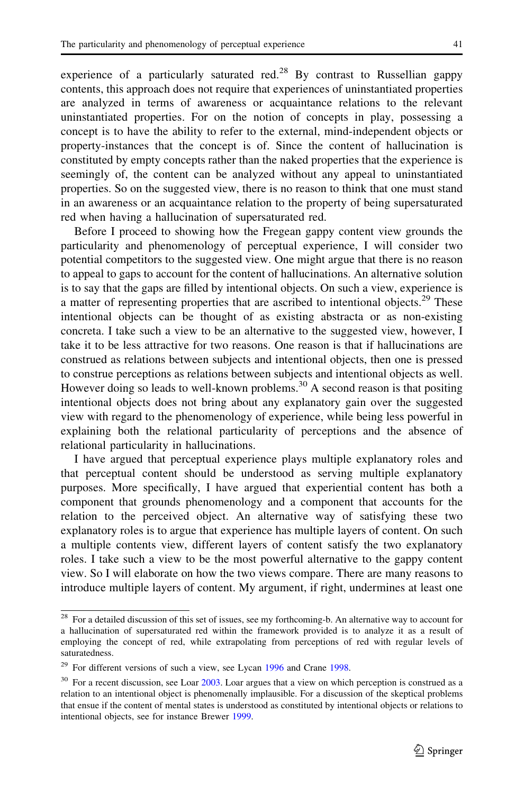experience of a particularly saturated red.<sup>28</sup> By contrast to Russellian gappy contents, this approach does not require that experiences of uninstantiated properties are analyzed in terms of awareness or acquaintance relations to the relevant uninstantiated properties. For on the notion of concepts in play, possessing a concept is to have the ability to refer to the external, mind-independent objects or property-instances that the concept is of. Since the content of hallucination is constituted by empty concepts rather than the naked properties that the experience is seemingly of, the content can be analyzed without any appeal to uninstantiated properties. So on the suggested view, there is no reason to think that one must stand in an awareness or an acquaintance relation to the property of being supersaturated red when having a hallucination of supersaturated red.

Before I proceed to showing how the Fregean gappy content view grounds the particularity and phenomenology of perceptual experience, I will consider two potential competitors to the suggested view. One might argue that there is no reason to appeal to gaps to account for the content of hallucinations. An alternative solution is to say that the gaps are filled by intentional objects. On such a view, experience is a matter of representing properties that are ascribed to intentional objects.<sup>29</sup> These intentional objects can be thought of as existing abstracta or as non-existing concreta. I take such a view to be an alternative to the suggested view, however, I take it to be less attractive for two reasons. One reason is that if hallucinations are construed as relations between subjects and intentional objects, then one is pressed to construe perceptions as relations between subjects and intentional objects as well. However doing so leads to well-known problems.<sup>30</sup> A second reason is that positing intentional objects does not bring about any explanatory gain over the suggested view with regard to the phenomenology of experience, while being less powerful in explaining both the relational particularity of perceptions and the absence of relational particularity in hallucinations.

I have argued that perceptual experience plays multiple explanatory roles and that perceptual content should be understood as serving multiple explanatory purposes. More specifically, I have argued that experiential content has both a component that grounds phenomenology and a component that accounts for the relation to the perceived object. An alternative way of satisfying these two explanatory roles is to argue that experience has multiple layers of content. On such a multiple contents view, different layers of content satisfy the two explanatory roles. I take such a view to be the most powerful alternative to the gappy content view. So I will elaborate on how the two views compare. There are many reasons to introduce multiple layers of content. My argument, if right, undermines at least one

 $28$  For a detailed discussion of this set of issues, see my forthcoming-b. An alternative way to account for a hallucination of supersaturated red within the framework provided is to analyze it as a result of employing the concept of red, while extrapolating from perceptions of red with regular levels of saturatedness.

<sup>&</sup>lt;sup>29</sup> For different versions of such a view, see Lycan [1996](#page-28-0) and Crane [1998.](#page-28-0)

<sup>30</sup> For a recent discussion, see Loar [2003.](#page-28-0) Loar argues that a view on which perception is construed as a relation to an intentional object is phenomenally implausible. For a discussion of the skeptical problems that ensue if the content of mental states is understood as constituted by intentional objects or relations to intentional objects, see for instance Brewer [1999.](#page-27-0)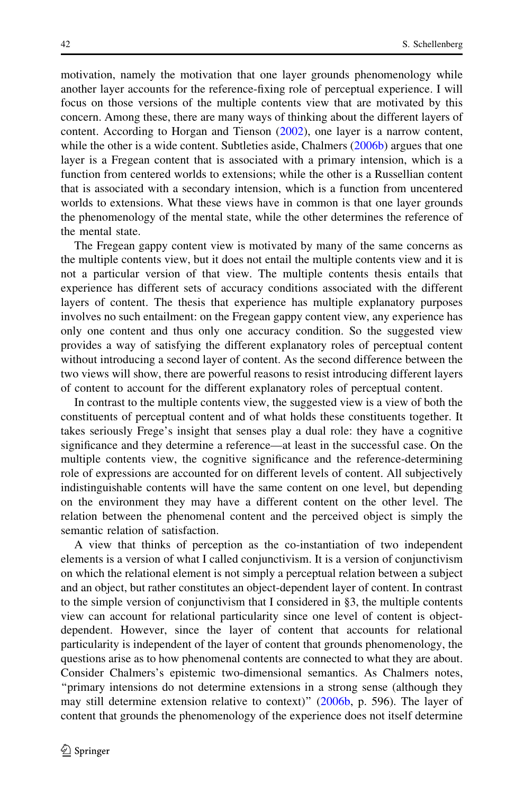motivation, namely the motivation that one layer grounds phenomenology while another layer accounts for the reference-fixing role of perceptual experience. I will focus on those versions of the multiple contents view that are motivated by this concern. Among these, there are many ways of thinking about the different layers of content. According to Horgan and Tienson ([2002\)](#page-28-0), one layer is a narrow content, while the other is a wide content. Subtleties aside, Chalmers [\(2006b](#page-28-0)) argues that one layer is a Fregean content that is associated with a primary intension, which is a function from centered worlds to extensions; while the other is a Russellian content that is associated with a secondary intension, which is a function from uncentered worlds to extensions. What these views have in common is that one layer grounds the phenomenology of the mental state, while the other determines the reference of the mental state.

The Fregean gappy content view is motivated by many of the same concerns as the multiple contents view, but it does not entail the multiple contents view and it is not a particular version of that view. The multiple contents thesis entails that experience has different sets of accuracy conditions associated with the different layers of content. The thesis that experience has multiple explanatory purposes involves no such entailment: on the Fregean gappy content view, any experience has only one content and thus only one accuracy condition. So the suggested view provides a way of satisfying the different explanatory roles of perceptual content without introducing a second layer of content. As the second difference between the two views will show, there are powerful reasons to resist introducing different layers of content to account for the different explanatory roles of perceptual content.

In contrast to the multiple contents view, the suggested view is a view of both the constituents of perceptual content and of what holds these constituents together. It takes seriously Frege's insight that senses play a dual role: they have a cognitive significance and they determine a reference—at least in the successful case. On the multiple contents view, the cognitive significance and the reference-determining role of expressions are accounted for on different levels of content. All subjectively indistinguishable contents will have the same content on one level, but depending on the environment they may have a different content on the other level. The relation between the phenomenal content and the perceived object is simply the semantic relation of satisfaction.

A view that thinks of perception as the co-instantiation of two independent elements is a version of what I called conjunctivism. It is a version of conjunctivism on which the relational element is not simply a perceptual relation between a subject and an object, but rather constitutes an object-dependent layer of content. In contrast to the simple version of conjunctivism that I considered in §3, the multiple contents view can account for relational particularity since one level of content is objectdependent. However, since the layer of content that accounts for relational particularity is independent of the layer of content that grounds phenomenology, the questions arise as to how phenomenal contents are connected to what they are about. Consider Chalmers's epistemic two-dimensional semantics. As Chalmers notes, ''primary intensions do not determine extensions in a strong sense (although they may still determine extension relative to context)" ([2006b,](#page-28-0) p. 596). The layer of content that grounds the phenomenology of the experience does not itself determine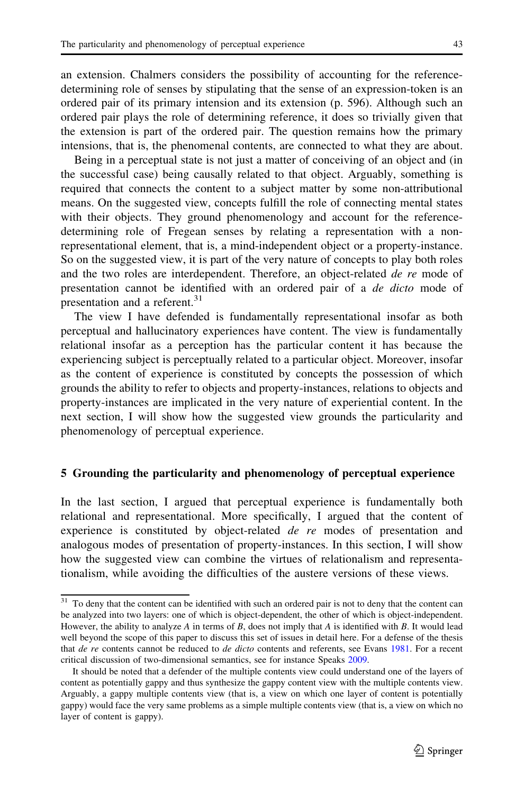an extension. Chalmers considers the possibility of accounting for the referencedetermining role of senses by stipulating that the sense of an expression-token is an ordered pair of its primary intension and its extension (p. 596). Although such an ordered pair plays the role of determining reference, it does so trivially given that the extension is part of the ordered pair. The question remains how the primary intensions, that is, the phenomenal contents, are connected to what they are about.

Being in a perceptual state is not just a matter of conceiving of an object and (in the successful case) being causally related to that object. Arguably, something is required that connects the content to a subject matter by some non-attributional means. On the suggested view, concepts fulfill the role of connecting mental states with their objects. They ground phenomenology and account for the referencedetermining role of Fregean senses by relating a representation with a nonrepresentational element, that is, a mind-independent object or a property-instance. So on the suggested view, it is part of the very nature of concepts to play both roles and the two roles are interdependent. Therefore, an object-related de re mode of presentation cannot be identified with an ordered pair of a de dicto mode of presentation and a referent.<sup>31</sup>

The view I have defended is fundamentally representational insofar as both perceptual and hallucinatory experiences have content. The view is fundamentally relational insofar as a perception has the particular content it has because the experiencing subject is perceptually related to a particular object. Moreover, insofar as the content of experience is constituted by concepts the possession of which grounds the ability to refer to objects and property-instances, relations to objects and property-instances are implicated in the very nature of experiential content. In the next section, I will show how the suggested view grounds the particularity and phenomenology of perceptual experience.

# 5 Grounding the particularity and phenomenology of perceptual experience

In the last section, I argued that perceptual experience is fundamentally both relational and representational. More specifically, I argued that the content of experience is constituted by object-related de re modes of presentation and analogous modes of presentation of property-instances. In this section, I will show how the suggested view can combine the virtues of relationalism and representationalism, while avoiding the difficulties of the austere versions of these views.

<sup>&</sup>lt;sup>31</sup> To deny that the content can be identified with such an ordered pair is not to deny that the content can be analyzed into two layers: one of which is object-dependent, the other of which is object-independent. However, the ability to analyze A in terms of B, does not imply that A is identified with B. It would lead well beyond the scope of this paper to discuss this set of issues in detail here. For a defense of the thesis that de re contents cannot be reduced to de dicto contents and referents, see Evans [1981.](#page-28-0) For a recent critical discussion of two-dimensional semantics, see for instance Speaks [2009.](#page-29-0)

It should be noted that a defender of the multiple contents view could understand one of the layers of content as potentially gappy and thus synthesize the gappy content view with the multiple contents view. Arguably, a gappy multiple contents view (that is, a view on which one layer of content is potentially gappy) would face the very same problems as a simple multiple contents view (that is, a view on which no layer of content is gappy).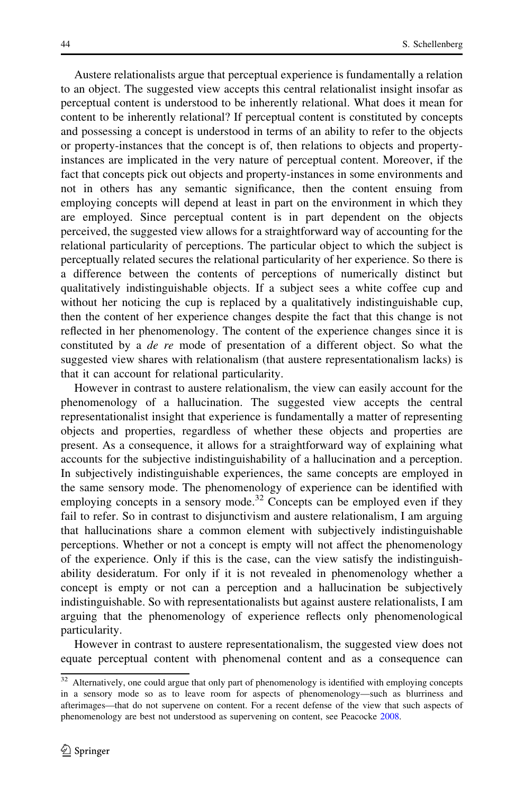Austere relationalists argue that perceptual experience is fundamentally a relation to an object. The suggested view accepts this central relationalist insight insofar as perceptual content is understood to be inherently relational. What does it mean for content to be inherently relational? If perceptual content is constituted by concepts and possessing a concept is understood in terms of an ability to refer to the objects or property-instances that the concept is of, then relations to objects and propertyinstances are implicated in the very nature of perceptual content. Moreover, if the fact that concepts pick out objects and property-instances in some environments and not in others has any semantic significance, then the content ensuing from employing concepts will depend at least in part on the environment in which they are employed. Since perceptual content is in part dependent on the objects perceived, the suggested view allows for a straightforward way of accounting for the relational particularity of perceptions. The particular object to which the subject is perceptually related secures the relational particularity of her experience. So there is a difference between the contents of perceptions of numerically distinct but qualitatively indistinguishable objects. If a subject sees a white coffee cup and without her noticing the cup is replaced by a qualitatively indistinguishable cup, then the content of her experience changes despite the fact that this change is not reflected in her phenomenology. The content of the experience changes since it is constituted by a de re mode of presentation of a different object. So what the suggested view shares with relationalism (that austere representationalism lacks) is that it can account for relational particularity.

However in contrast to austere relationalism, the view can easily account for the phenomenology of a hallucination. The suggested view accepts the central representationalist insight that experience is fundamentally a matter of representing objects and properties, regardless of whether these objects and properties are present. As a consequence, it allows for a straightforward way of explaining what accounts for the subjective indistinguishability of a hallucination and a perception. In subjectively indistinguishable experiences, the same concepts are employed in the same sensory mode. The phenomenology of experience can be identified with employing concepts in a sensory mode.<sup>32</sup> Concepts can be employed even if they fail to refer. So in contrast to disjunctivism and austere relationalism, I am arguing that hallucinations share a common element with subjectively indistinguishable perceptions. Whether or not a concept is empty will not affect the phenomenology of the experience. Only if this is the case, can the view satisfy the indistinguishability desideratum. For only if it is not revealed in phenomenology whether a concept is empty or not can a perception and a hallucination be subjectively indistinguishable. So with representationalists but against austere relationalists, I am arguing that the phenomenology of experience reflects only phenomenological particularity.

However in contrast to austere representationalism, the suggested view does not equate perceptual content with phenomenal content and as a consequence can

<sup>&</sup>lt;sup>32</sup> Alternatively, one could argue that only part of phenomenology is identified with employing concepts in a sensory mode so as to leave room for aspects of phenomenology—such as blurriness and afterimages—that do not supervene on content. For a recent defense of the view that such aspects of phenomenology are best not understood as supervening on content, see Peacocke [2008.](#page-28-0)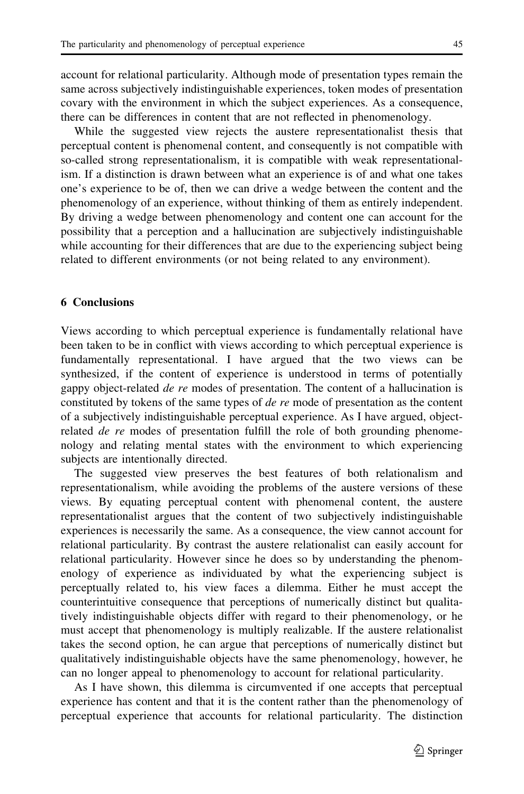account for relational particularity. Although mode of presentation types remain the same across subjectively indistinguishable experiences, token modes of presentation covary with the environment in which the subject experiences. As a consequence, there can be differences in content that are not reflected in phenomenology.

While the suggested view rejects the austere representationalist thesis that perceptual content is phenomenal content, and consequently is not compatible with so-called strong representationalism, it is compatible with weak representationalism. If a distinction is drawn between what an experience is of and what one takes one's experience to be of, then we can drive a wedge between the content and the phenomenology of an experience, without thinking of them as entirely independent. By driving a wedge between phenomenology and content one can account for the possibility that a perception and a hallucination are subjectively indistinguishable while accounting for their differences that are due to the experiencing subject being related to different environments (or not being related to any environment).

### 6 Conclusions

Views according to which perceptual experience is fundamentally relational have been taken to be in conflict with views according to which perceptual experience is fundamentally representational. I have argued that the two views can be synthesized, if the content of experience is understood in terms of potentially gappy object-related de re modes of presentation. The content of a hallucination is constituted by tokens of the same types of de re mode of presentation as the content of a subjectively indistinguishable perceptual experience. As I have argued, objectrelated *de re* modes of presentation fulfill the role of both grounding phenomenology and relating mental states with the environment to which experiencing subjects are intentionally directed.

The suggested view preserves the best features of both relationalism and representationalism, while avoiding the problems of the austere versions of these views. By equating perceptual content with phenomenal content, the austere representationalist argues that the content of two subjectively indistinguishable experiences is necessarily the same. As a consequence, the view cannot account for relational particularity. By contrast the austere relationalist can easily account for relational particularity. However since he does so by understanding the phenomenology of experience as individuated by what the experiencing subject is perceptually related to, his view faces a dilemma. Either he must accept the counterintuitive consequence that perceptions of numerically distinct but qualitatively indistinguishable objects differ with regard to their phenomenology, or he must accept that phenomenology is multiply realizable. If the austere relationalist takes the second option, he can argue that perceptions of numerically distinct but qualitatively indistinguishable objects have the same phenomenology, however, he can no longer appeal to phenomenology to account for relational particularity.

As I have shown, this dilemma is circumvented if one accepts that perceptual experience has content and that it is the content rather than the phenomenology of perceptual experience that accounts for relational particularity. The distinction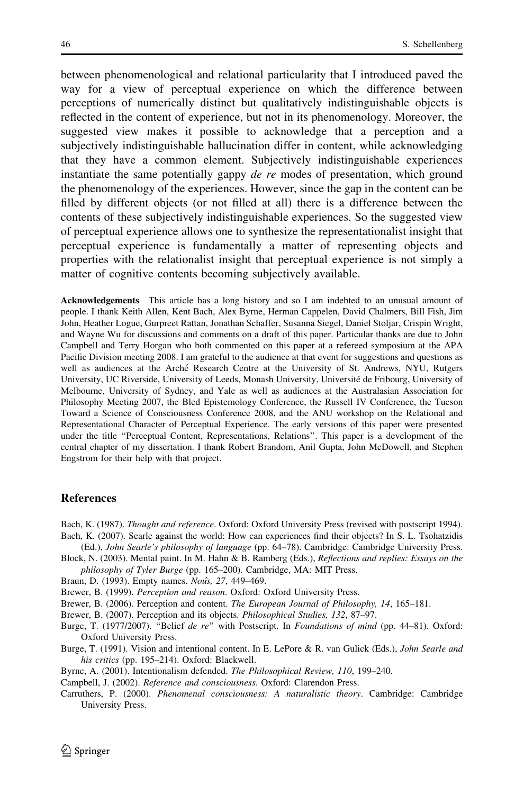between phenomenological and relational particularity that I introduced paved the way for a view of perceptual experience on which the difference between perceptions of numerically distinct but qualitatively indistinguishable objects is reflected in the content of experience, but not in its phenomenology. Moreover, the suggested view makes it possible to acknowledge that a perception and a subjectively indistinguishable hallucination differ in content, while acknowledging that they have a common element. Subjectively indistinguishable experiences instantiate the same potentially gappy de re modes of presentation, which ground the phenomenology of the experiences. However, since the gap in the content can be filled by different objects (or not filled at all) there is a difference between the contents of these subjectively indistinguishable experiences. So the suggested view of perceptual experience allows one to synthesize the representationalist insight that perceptual experience is fundamentally a matter of representing objects and properties with the relationalist insight that perceptual experience is not simply a matter of cognitive contents becoming subjectively available.

Acknowledgements This article has a long history and so I am indebted to an unusual amount of people. I thank Keith Allen, Kent Bach, Alex Byrne, Herman Cappelen, David Chalmers, Bill Fish, Jim John, Heather Logue, Gurpreet Rattan, Jonathan Schaffer, Susanna Siegel, Daniel Stoljar, Crispin Wright, and Wayne Wu for discussions and comments on a draft of this paper. Particular thanks are due to John Campbell and Terry Horgan who both commented on this paper at a refereed symposium at the APA Pacific Division meeting 2008. I am grateful to the audience at that event for suggestions and questions as well as audiences at the Arché Research Centre at the University of St. Andrews, NYU, Rutgers University, UC Riverside, University of Leeds, Monash University, Universite´ de Fribourg, University of Melbourne, University of Sydney, and Yale as well as audiences at the Australasian Association for Philosophy Meeting 2007, the Bled Epistemology Conference, the Russell IV Conference, the Tucson Toward a Science of Consciousness Conference 2008, and the ANU workshop on the Relational and Representational Character of Perceptual Experience. The early versions of this paper were presented under the title ''Perceptual Content, Representations, Relations''. This paper is a development of the central chapter of my dissertation. I thank Robert Brandom, Anil Gupta, John McDowell, and Stephen Engstrom for their help with that project.

### **References**

Bach, K. (1987). Thought and reference. Oxford: Oxford University Press (revised with postscript 1994). Bach, K. (2007). Searle against the world: How can experiences find their objects? In S. L. Tsohatzidis

- (Ed.), John Searle's philosophy of language (pp. 64–78). Cambridge: Cambridge University Press. Block, N. (2003). Mental paint. In M. Hahn & B. Ramberg (Eds.), Reflections and replies: Essays on the
- philosophy of Tyler Burge (pp. 165–200). Cambridge, MA: MIT Press.
- Braun, D. (1993). Empty names. Nous, 27, 449-469.
- Brewer, B. (1999). Perception and reason. Oxford: Oxford University Press.
- Brewer, B. (2006). Perception and content. The European Journal of Philosophy, 14, 165–181.

Brewer, B. (2007). Perception and its objects. Philosophical Studies, 132, 87–97.

Burge, T. (1977/2007). "Belief de re" with Postscript. In Foundations of mind (pp. 44–81). Oxford: Oxford University Press.

Burge, T. (1991). Vision and intentional content. In E. LePore & R. van Gulick (Eds.), John Searle and his critics (pp. 195–214). Oxford: Blackwell.

Byrne, A. (2001). Intentionalism defended. The Philosophical Review, 110, 199–240.

Campbell, J. (2002). Reference and consciousness. Oxford: Clarendon Press.

<span id="page-27-0"></span>Carruthers, P. (2000). Phenomenal consciousness: A naturalistic theory. Cambridge: Cambridge University Press.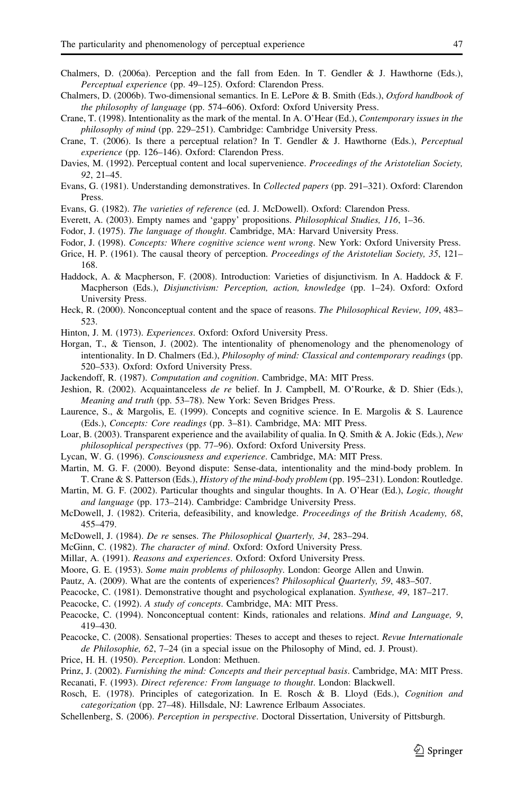- Chalmers, D. (2006a). Perception and the fall from Eden. In T. Gendler & J. Hawthorne (Eds.), Perceptual experience (pp. 49–125). Oxford: Clarendon Press.
- Chalmers, D. (2006b). Two-dimensional semantics. In E. LePore & B. Smith (Eds.), Oxford handbook of the philosophy of language (pp. 574–606). Oxford: Oxford University Press.
- Crane, T. (1998). Intentionality as the mark of the mental. In A. O'Hear (Ed.), Contemporary issues in the philosophy of mind (pp. 229–251). Cambridge: Cambridge University Press.
- Crane, T. (2006). Is there a perceptual relation? In T. Gendler & J. Hawthorne (Eds.), Perceptual experience (pp. 126–146). Oxford: Clarendon Press.
- Davies, M. (1992). Perceptual content and local supervenience. Proceedings of the Aristotelian Society, 92, 21–45.
- Evans, G. (1981). Understanding demonstratives. In Collected papers (pp. 291–321). Oxford: Clarendon Press.
- Evans, G. (1982). The varieties of reference (ed. J. McDowell). Oxford: Clarendon Press.
- Everett, A. (2003). Empty names and 'gappy' propositions. Philosophical Studies, 116, 1–36.
- Fodor, J. (1975). The language of thought. Cambridge, MA: Harvard University Press.
- Fodor, J. (1998). Concepts: Where cognitive science went wrong. New York: Oxford University Press.
- Grice, H. P. (1961). The causal theory of perception. Proceedings of the Aristotelian Society, 35, 121– 168.
- Haddock, A. & Macpherson, F. (2008). Introduction: Varieties of disjunctivism. In A. Haddock & F. Macpherson (Eds.), Disjunctivism: Perception, action, knowledge (pp. 1–24). Oxford: Oxford University Press.
- Heck, R. (2000). Nonconceptual content and the space of reasons. The Philosophical Review, 109, 483– 523.
- Hinton, J. M. (1973). Experiences. Oxford: Oxford University Press.
- Horgan, T., & Tienson, J. (2002). The intentionality of phenomenology and the phenomenology of intentionality. In D. Chalmers (Ed.), *Philosophy of mind: Classical and contemporary readings* (pp. 520–533). Oxford: Oxford University Press.
- Jackendoff, R. (1987). Computation and cognition. Cambridge, MA: MIT Press.
- Jeshion, R. (2002). Acquaintanceless de re belief. In J. Campbell, M. O'Rourke, & D. Shier (Eds.), Meaning and truth (pp. 53–78). New York: Seven Bridges Press.
- Laurence, S., & Margolis, E. (1999). Concepts and cognitive science. In E. Margolis & S. Laurence (Eds.), Concepts: Core readings (pp. 3–81). Cambridge, MA: MIT Press.
- Loar, B. (2003). Transparent experience and the availability of qualia. In Q. Smith & A. Jokic (Eds.), New philosophical perspectives (pp. 77–96). Oxford: Oxford University Press.
- Lycan, W. G. (1996). Consciousness and experience. Cambridge, MA: MIT Press.
- Martin, M. G. F. (2000). Beyond dispute: Sense-data, intentionality and the mind-body problem. In T. Crane & S. Patterson (Eds.), History of the mind-body problem (pp. 195–231). London: Routledge.
- Martin, M. G. F. (2002). Particular thoughts and singular thoughts. In A. O'Hear (Ed.), Logic, thought and language (pp. 173–214). Cambridge: Cambridge University Press.
- McDowell, J. (1982). Criteria, defeasibility, and knowledge. Proceedings of the British Academy, 68, 455–479.
- McDowell, J. (1984). De re senses. The Philosophical Quarterly, 34, 283–294.
- McGinn, C. (1982). The character of mind. Oxford: Oxford University Press.
- Millar, A. (1991). Reasons and experiences. Oxford: Oxford University Press.
- Moore, G. E. (1953). Some main problems of philosophy. London: George Allen and Unwin.
- Pautz, A. (2009). What are the contents of experiences? Philosophical Quarterly, 59, 483–507.
- Peacocke, C. (1981). Demonstrative thought and psychological explanation. Synthese, 49, 187–217.
- Peacocke, C. (1992). A study of concepts. Cambridge, MA: MIT Press.
- Peacocke, C. (1994). Nonconceptual content: Kinds, rationales and relations. Mind and Language, 9, 419–430.
- Peacocke, C. (2008). Sensational properties: Theses to accept and theses to reject. Revue Internationale de Philosophie, 62, 7–24 (in a special issue on the Philosophy of Mind, ed. J. Proust).
- Price, H. H. (1950). Perception. London: Methuen.
- Prinz, J. (2002). Furnishing the mind: Concepts and their perceptual basis. Cambridge, MA: MIT Press. Recanati, F. (1993). Direct reference: From language to thought. London: Blackwell.
- Rosch, E. (1978). Principles of categorization. In E. Rosch & B. Lloyd (Eds.), Cognition and categorization (pp. 27–48). Hillsdale, NJ: Lawrence Erlbaum Associates.
- <span id="page-28-0"></span>Schellenberg, S. (2006). Perception in perspective. Doctoral Dissertation, University of Pittsburgh.